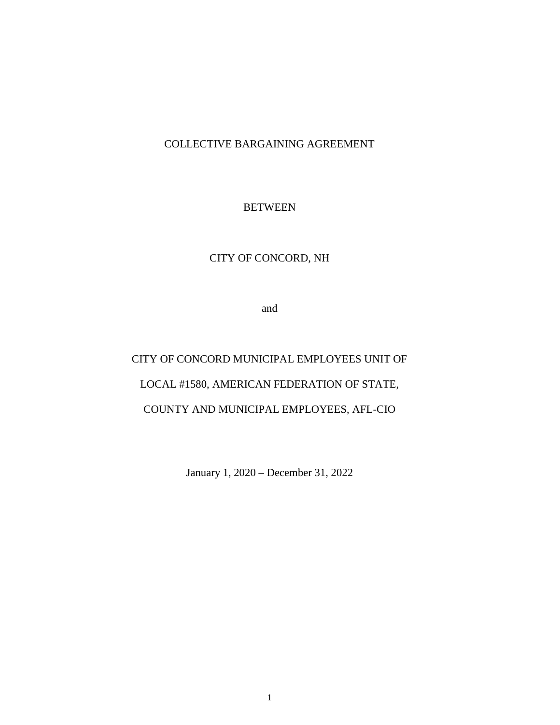COLLECTIVE BARGAINING AGREEMENT

### **BETWEEN**

# CITY OF CONCORD, NH

and

CITY OF CONCORD MUNICIPAL EMPLOYEES UNIT OF LOCAL #1580, AMERICAN FEDERATION OF STATE, COUNTY AND MUNICIPAL EMPLOYEES, AFL-CIO

January 1, 2020 – December 31, 2022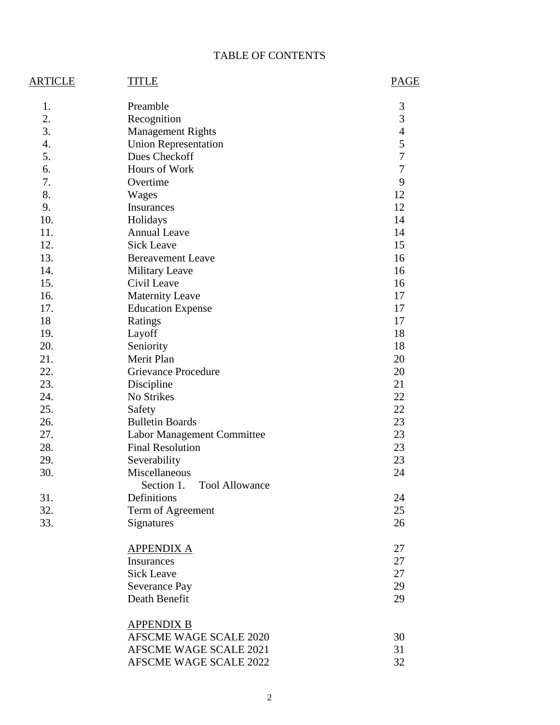# TABLE OF CONTENTS

| <b>ARTICLE</b> | TITLE                               | PAGE           |
|----------------|-------------------------------------|----------------|
| 1.             | Preamble                            | 3              |
| 2.             | Recognition                         | 3              |
| 3.             | <b>Management Rights</b>            | $\overline{4}$ |
| 4.             | <b>Union Representation</b>         | 5              |
| 5.             | Dues Checkoff                       | $\overline{7}$ |
| 6.             | Hours of Work                       | $\overline{7}$ |
| 7.             | Overtime                            | 9              |
| 8.             | Wages                               | 12             |
| 9.             | Insurances                          | 12             |
| 10.            | Holidays                            | 14             |
| 11.            | <b>Annual Leave</b>                 | 14             |
| 12.            | <b>Sick Leave</b>                   | 15             |
| 13.            | <b>Bereavement Leave</b>            | 16             |
| 14.            | <b>Military Leave</b>               | 16             |
| 15.            | Civil Leave                         | 16             |
| 16.            | <b>Maternity Leave</b>              | 17             |
| 17.            | <b>Education Expense</b>            | 17             |
| 18             | Ratings                             | 17             |
| 19.            | Layoff                              | 18             |
| 20.            | Seniority                           | 18             |
| 21.            | Merit Plan                          | 20             |
| 22.            | <b>Grievance Procedure</b>          | 20             |
| 23.            | Discipline                          | 21             |
| 24.            | No Strikes                          | 22             |
| 25.            | Safety                              | 22             |
| 26.            | <b>Bulletin Boards</b>              | 23             |
| 27.            | Labor Management Committee          | 23             |
| 28.            | <b>Final Resolution</b>             | 23             |
| 29.            | Severability                        | 23             |
| 30.            | Miscellaneous                       | 24             |
|                | <b>Tool Allowance</b><br>Section 1. |                |
| 31.            | Definitions                         | 24             |
| 32.            | Term of Agreement                   | 25             |
| 33.            | Signatures                          | 26             |
|                | <b>APPENDIX A</b>                   | 27             |
|                | Insurances                          | 27             |
|                | <b>Sick Leave</b>                   | 27             |
|                | <b>Severance Pay</b>                | 29             |
|                | Death Benefit                       | 29             |
|                | <b>APPENDIX B</b>                   |                |
|                | <b>AFSCME WAGE SCALE 2020</b>       | 30             |
|                | <b>AFSCME WAGE SCALE 2021</b>       | 31             |
|                | <b>AFSCME WAGE SCALE 2022</b>       | 32             |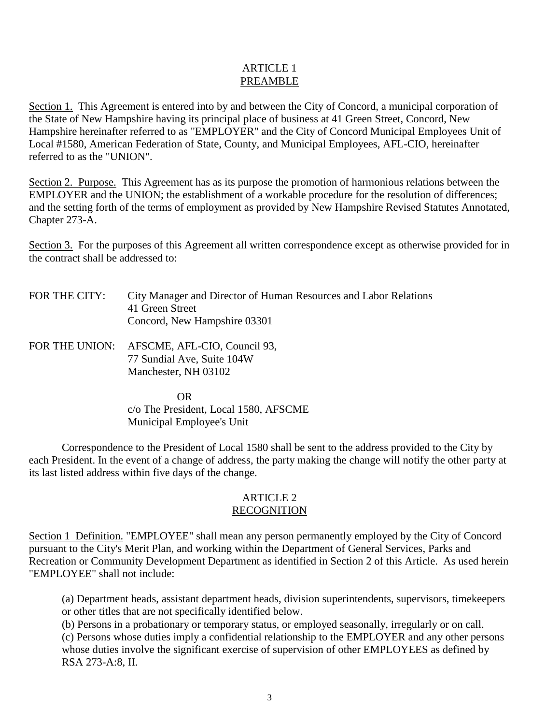#### ARTICLE 1 PREAMBLE

Section 1. This Agreement is entered into by and between the City of Concord, a municipal corporation of the State of New Hampshire having its principal place of business at 41 Green Street, Concord, New Hampshire hereinafter referred to as "EMPLOYER" and the City of Concord Municipal Employees Unit of Local #1580, American Federation of State, County, and Municipal Employees, AFL-CIO, hereinafter referred to as the "UNION".

Section 2. Purpose. This Agreement has as its purpose the promotion of harmonious relations between the EMPLOYER and the UNION; the establishment of a workable procedure for the resolution of differences; and the setting forth of the terms of employment as provided by New Hampshire Revised Statutes Annotated, Chapter 273-A.

Section 3. For the purposes of this Agreement all written correspondence except as otherwise provided for in the contract shall be addressed to:

- FOR THE CITY: City Manager and Director of Human Resources and Labor Relations 41 Green Street Concord, New Hampshire 03301
- FOR THE UNION: AFSCME, AFL-CIO, Council 93, 77 Sundial Ave, Suite 104W Manchester, NH 03102

 OR c/o The President, Local 1580, AFSCME Municipal Employee's Unit

Correspondence to the President of Local 1580 shall be sent to the address provided to the City by each President. In the event of a change of address, the party making the change will notify the other party at its last listed address within five days of the change.

#### ARTICLE 2 RECOGNITION

Section 1 Definition. "EMPLOYEE" shall mean any person permanently employed by the City of Concord pursuant to the City's Merit Plan, and working within the Department of General Services, Parks and Recreation or Community Development Department as identified in Section 2 of this Article. As used herein "EMPLOYEE" shall not include:

(a) Department heads, assistant department heads, division superintendents, supervisors, timekeepers or other titles that are not specifically identified below.

(b) Persons in a probationary or temporary status, or employed seasonally, irregularly or on call. (c) Persons whose duties imply a confidential relationship to the EMPLOYER and any other persons whose duties involve the significant exercise of supervision of other EMPLOYEES as defined by RSA 273-A:8, II.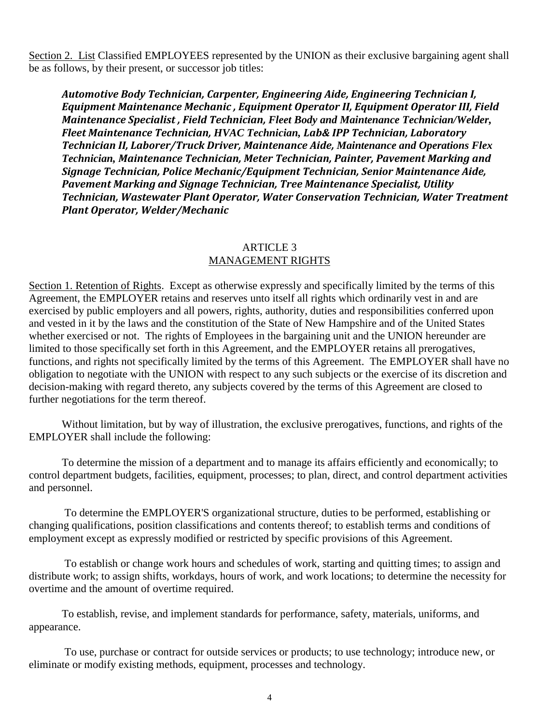Section 2. List Classified EMPLOYEES represented by the UNION as their exclusive bargaining agent shall be as follows, by their present, or successor job titles:

*Automotive Body Technician, Carpenter, Engineering Aide, Engineering Technician I, Equipment Maintenance Mechanic , Equipment Operator II, Equipment Operator III, Field Maintenance Specialist , Field Technician, Fleet Body and Maintenance Technician/Welder, Fleet Maintenance Technician, HVAC Technician, Lab& IPP Technician, Laboratory Technician II, Laborer/Truck Driver, Maintenance Aide, Maintenance and Operations Flex Technician, Maintenance Technician, Meter Technician, Painter, Pavement Marking and Signage Technician, Police Mechanic/Equipment Technician, Senior Maintenance Aide, Pavement Marking and Signage Technician, Tree Maintenance Specialist, Utility Technician, Wastewater Plant Operator, Water Conservation Technician, Water Treatment Plant Operator, Welder/Mechanic* 

#### ARTICLE 3 MANAGEMENT RIGHTS

Section 1. Retention of Rights. Except as otherwise expressly and specifically limited by the terms of this Agreement, the EMPLOYER retains and reserves unto itself all rights which ordinarily vest in and are exercised by public employers and all powers, rights, authority, duties and responsibilities conferred upon and vested in it by the laws and the constitution of the State of New Hampshire and of the United States whether exercised or not. The rights of Employees in the bargaining unit and the UNION hereunder are limited to those specifically set forth in this Agreement, and the EMPLOYER retains all prerogatives, functions, and rights not specifically limited by the terms of this Agreement. The EMPLOYER shall have no obligation to negotiate with the UNION with respect to any such subjects or the exercise of its discretion and decision-making with regard thereto, any subjects covered by the terms of this Agreement are closed to further negotiations for the term thereof.

Without limitation, but by way of illustration, the exclusive prerogatives, functions, and rights of the EMPLOYER shall include the following:

To determine the mission of a department and to manage its affairs efficiently and economically; to control department budgets, facilities, equipment, processes; to plan, direct, and control department activities and personnel.

To determine the EMPLOYER'S organizational structure, duties to be performed, establishing or changing qualifications, position classifications and contents thereof; to establish terms and conditions of employment except as expressly modified or restricted by specific provisions of this Agreement.

To establish or change work hours and schedules of work, starting and quitting times; to assign and distribute work; to assign shifts, workdays, hours of work, and work locations; to determine the necessity for overtime and the amount of overtime required.

To establish, revise, and implement standards for performance, safety, materials, uniforms, and appearance.

To use, purchase or contract for outside services or products; to use technology; introduce new, or eliminate or modify existing methods, equipment, processes and technology.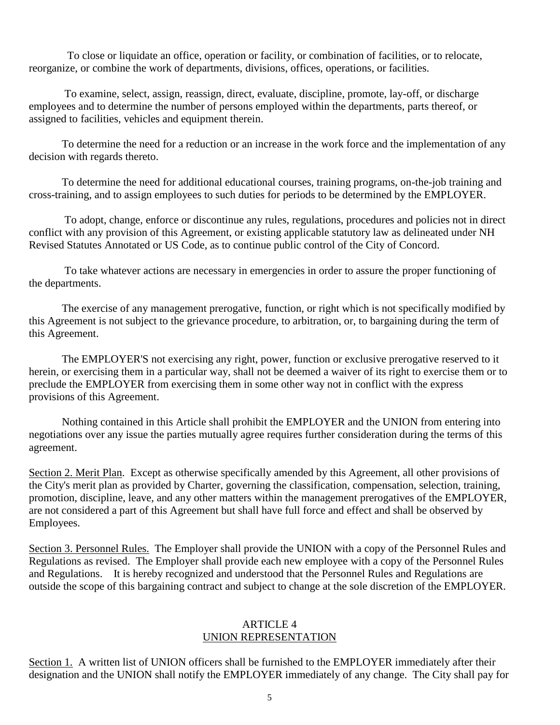To close or liquidate an office, operation or facility, or combination of facilities, or to relocate, reorganize, or combine the work of departments, divisions, offices, operations, or facilities.

To examine, select, assign, reassign, direct, evaluate, discipline, promote, lay-off, or discharge employees and to determine the number of persons employed within the departments, parts thereof, or assigned to facilities, vehicles and equipment therein.

To determine the need for a reduction or an increase in the work force and the implementation of any decision with regards thereto.

To determine the need for additional educational courses, training programs, on-the-job training and cross-training, and to assign employees to such duties for periods to be determined by the EMPLOYER.

To adopt, change, enforce or discontinue any rules, regulations, procedures and policies not in direct conflict with any provision of this Agreement, or existing applicable statutory law as delineated under NH Revised Statutes Annotated or US Code, as to continue public control of the City of Concord.

To take whatever actions are necessary in emergencies in order to assure the proper functioning of the departments.

The exercise of any management prerogative, function, or right which is not specifically modified by this Agreement is not subject to the grievance procedure, to arbitration, or, to bargaining during the term of this Agreement.

The EMPLOYER'S not exercising any right, power, function or exclusive prerogative reserved to it herein, or exercising them in a particular way, shall not be deemed a waiver of its right to exercise them or to preclude the EMPLOYER from exercising them in some other way not in conflict with the express provisions of this Agreement.

Nothing contained in this Article shall prohibit the EMPLOYER and the UNION from entering into negotiations over any issue the parties mutually agree requires further consideration during the terms of this agreement.

Section 2. Merit Plan. Except as otherwise specifically amended by this Agreement, all other provisions of the City's merit plan as provided by Charter, governing the classification, compensation, selection, training, promotion, discipline, leave, and any other matters within the management prerogatives of the EMPLOYER, are not considered a part of this Agreement but shall have full force and effect and shall be observed by Employees.

Section 3. Personnel Rules. The Employer shall provide the UNION with a copy of the Personnel Rules and Regulations as revised. The Employer shall provide each new employee with a copy of the Personnel Rules and Regulations. It is hereby recognized and understood that the Personnel Rules and Regulations are outside the scope of this bargaining contract and subject to change at the sole discretion of the EMPLOYER.

#### ARTICLE 4 UNION REPRESENTATION

Section 1. A written list of UNION officers shall be furnished to the EMPLOYER immediately after their designation and the UNION shall notify the EMPLOYER immediately of any change. The City shall pay for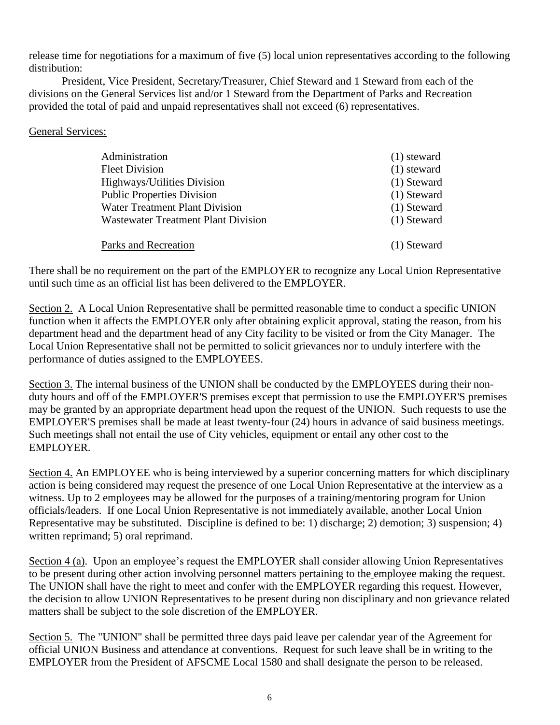release time for negotiations for a maximum of five (5) local union representatives according to the following distribution:

President, Vice President, Secretary/Treasurer, Chief Steward and 1 Steward from each of the divisions on the General Services list and/or 1 Steward from the Department of Parks and Recreation provided the total of paid and unpaid representatives shall not exceed (6) representatives.

## General Services:

| Administration                        | $(1)$ steward |
|---------------------------------------|---------------|
| <b>Fleet Division</b>                 | $(1)$ steward |
| Highways/Utilities Division           | $(1)$ Steward |
| <b>Public Properties Division</b>     | $(1)$ Steward |
| <b>Water Treatment Plant Division</b> | $(1)$ Steward |
| Wastewater Treatment Plant Division   | $(1)$ Steward |
| Parks and Recreation                  | $(1)$ Steward |

There shall be no requirement on the part of the EMPLOYER to recognize any Local Union Representative until such time as an official list has been delivered to the EMPLOYER.

Section 2. A Local Union Representative shall be permitted reasonable time to conduct a specific UNION function when it affects the EMPLOYER only after obtaining explicit approval, stating the reason, from his department head and the department head of any City facility to be visited or from the City Manager. The Local Union Representative shall not be permitted to solicit grievances nor to unduly interfere with the performance of duties assigned to the EMPLOYEES.

Section 3. The internal business of the UNION shall be conducted by the EMPLOYEES during their nonduty hours and off of the EMPLOYER'S premises except that permission to use the EMPLOYER'S premises may be granted by an appropriate department head upon the request of the UNION. Such requests to use the EMPLOYER'S premises shall be made at least twenty-four (24) hours in advance of said business meetings. Such meetings shall not entail the use of City vehicles, equipment or entail any other cost to the EMPLOYER.

Section 4. An EMPLOYEE who is being interviewed by a superior concerning matters for which disciplinary action is being considered may request the presence of one Local Union Representative at the interview as a witness. Up to 2 employees may be allowed for the purposes of a training/mentoring program for Union officials/leaders. If one Local Union Representative is not immediately available, another Local Union Representative may be substituted. Discipline is defined to be: 1) discharge; 2) demotion; 3) suspension; 4) written reprimand; 5) oral reprimand.

Section 4 (a). Upon an employee's request the EMPLOYER shall consider allowing Union Representatives to be present during other action involving personnel matters pertaining to the employee making the request. The UNION shall have the right to meet and confer with the EMPLOYER regarding this request. However, the decision to allow UNION Representatives to be present during non disciplinary and non grievance related matters shall be subject to the sole discretion of the EMPLOYER.

Section 5. The "UNION" shall be permitted three days paid leave per calendar year of the Agreement for official UNION Business and attendance at conventions. Request for such leave shall be in writing to the EMPLOYER from the President of AFSCME Local 1580 and shall designate the person to be released.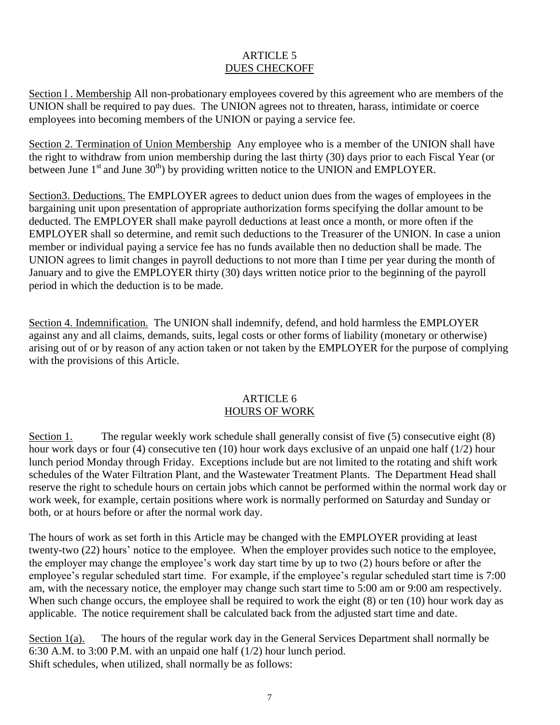## ARTICLE 5 DUES CHECKOFF

Section l . Membership All non-probationary employees covered by this agreement who are members of the UNION shall be required to pay dues. The UNION agrees not to threaten, harass, intimidate or coerce employees into becoming members of the UNION or paying a service fee.

Section 2. Termination of Union Membership Any employee who is a member of the UNION shall have the right to withdraw from union membership during the last thirty (30) days prior to each Fiscal Year (or between June  $1<sup>st</sup>$  and June  $30<sup>th</sup>$ ) by providing written notice to the UNION and EMPLOYER.

Section3. Deductions. The EMPLOYER agrees to deduct union dues from the wages of employees in the bargaining unit upon presentation of appropriate authorization forms specifying the dollar amount to be deducted. The EMPLOYER shall make payroll deductions at least once a month, or more often if the EMPLOYER shall so determine, and remit such deductions to the Treasurer of the UNION. In case a union member or individual paying a service fee has no funds available then no deduction shall be made. The UNION agrees to limit changes in payroll deductions to not more than I time per year during the month of January and to give the EMPLOYER thirty (30) days written notice prior to the beginning of the payroll period in which the deduction is to be made.

Section 4. Indemnification. The UNION shall indemnify, defend, and hold harmless the EMPLOYER against any and all claims, demands, suits, legal costs or other forms of liability (monetary or otherwise) arising out of or by reason of any action taken or not taken by the EMPLOYER for the purpose of complying with the provisions of this Article.

## ARTICLE 6 HOURS OF WORK

Section 1. The regular weekly work schedule shall generally consist of five (5) consecutive eight (8) hour work days or four (4) consecutive ten (10) hour work days exclusive of an unpaid one half (1/2) hour lunch period Monday through Friday. Exceptions include but are not limited to the rotating and shift work schedules of the Water Filtration Plant, and the Wastewater Treatment Plants. The Department Head shall reserve the right to schedule hours on certain jobs which cannot be performed within the normal work day or work week, for example, certain positions where work is normally performed on Saturday and Sunday or both, or at hours before or after the normal work day.

The hours of work as set forth in this Article may be changed with the EMPLOYER providing at least twenty-two (22) hours' notice to the employee. When the employer provides such notice to the employee, the employer may change the employee's work day start time by up to two (2) hours before or after the employee's regular scheduled start time. For example, if the employee's regular scheduled start time is 7:00 am, with the necessary notice, the employer may change such start time to 5:00 am or 9:00 am respectively. When such change occurs, the employee shall be required to work the eight (8) or ten (10) hour work day as applicable. The notice requirement shall be calculated back from the adjusted start time and date.

Section 1(a). The hours of the regular work day in the General Services Department shall normally be 6:30 A.M. to 3:00 P.M. with an unpaid one half (1/2) hour lunch period. Shift schedules, when utilized, shall normally be as follows: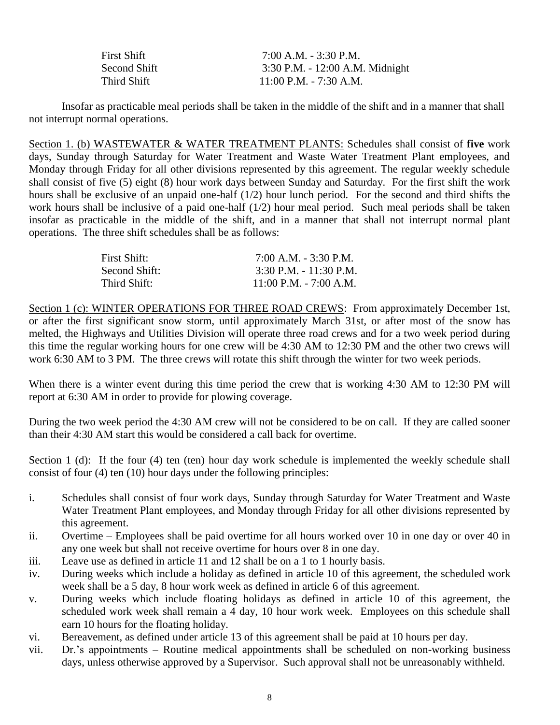| <b>First Shift</b> | $7:00$ A.M. $-3:30$ P.M.        |
|--------------------|---------------------------------|
| Second Shift       | 3:30 P.M. - 12:00 A.M. Midnight |
| Third Shift        | $11:00$ P.M. - 7:30 A.M.        |

Insofar as practicable meal periods shall be taken in the middle of the shift and in a manner that shall not interrupt normal operations.

Section 1. (b) WASTEWATER & WATER TREATMENT PLANTS: Schedules shall consist of **five** work days, Sunday through Saturday for Water Treatment and Waste Water Treatment Plant employees, and Monday through Friday for all other divisions represented by this agreement. The regular weekly schedule shall consist of five (5) eight (8) hour work days between Sunday and Saturday. For the first shift the work hours shall be exclusive of an unpaid one-half (1/2) hour lunch period. For the second and third shifts the work hours shall be inclusive of a paid one-half (1/2) hour meal period. Such meal periods shall be taken insofar as practicable in the middle of the shift, and in a manner that shall not interrupt normal plant operations. The three shift schedules shall be as follows:

| First Shift:  | $7:00$ A.M. $-3:30$ P.M. |
|---------------|--------------------------|
| Second Shift: | $3:30$ P.M. - 11:30 P.M. |
| Third Shift:  | $11:00$ P.M. - 7:00 A.M. |

Section 1 (c): WINTER OPERATIONS FOR THREE ROAD CREWS: From approximately December 1st, or after the first significant snow storm, until approximately March 31st, or after most of the snow has melted, the Highways and Utilities Division will operate three road crews and for a two week period during this time the regular working hours for one crew will be 4:30 AM to 12:30 PM and the other two crews will work 6:30 AM to 3 PM. The three crews will rotate this shift through the winter for two week periods.

When there is a winter event during this time period the crew that is working 4:30 AM to 12:30 PM will report at 6:30 AM in order to provide for plowing coverage.

During the two week period the 4:30 AM crew will not be considered to be on call. If they are called sooner than their 4:30 AM start this would be considered a call back for overtime.

Section 1 (d): If the four (4) ten (ten) hour day work schedule is implemented the weekly schedule shall consist of four (4) ten (10) hour days under the following principles:

- i. Schedules shall consist of four work days, Sunday through Saturday for Water Treatment and Waste Water Treatment Plant employees, and Monday through Friday for all other divisions represented by this agreement.
- ii. Overtime Employees shall be paid overtime for all hours worked over 10 in one day or over 40 in any one week but shall not receive overtime for hours over 8 in one day.
- iii. Leave use as defined in article 11 and 12 shall be on a 1 to 1 hourly basis.
- iv. During weeks which include a holiday as defined in article 10 of this agreement, the scheduled work week shall be a 5 day, 8 hour work week as defined in article 6 of this agreement.
- v. During weeks which include floating holidays as defined in article 10 of this agreement, the scheduled work week shall remain a 4 day, 10 hour work week. Employees on this schedule shall earn 10 hours for the floating holiday.
- vi. Bereavement, as defined under article 13 of this agreement shall be paid at 10 hours per day.
- vii. Dr.'s appointments Routine medical appointments shall be scheduled on non-working business days, unless otherwise approved by a Supervisor. Such approval shall not be unreasonably withheld.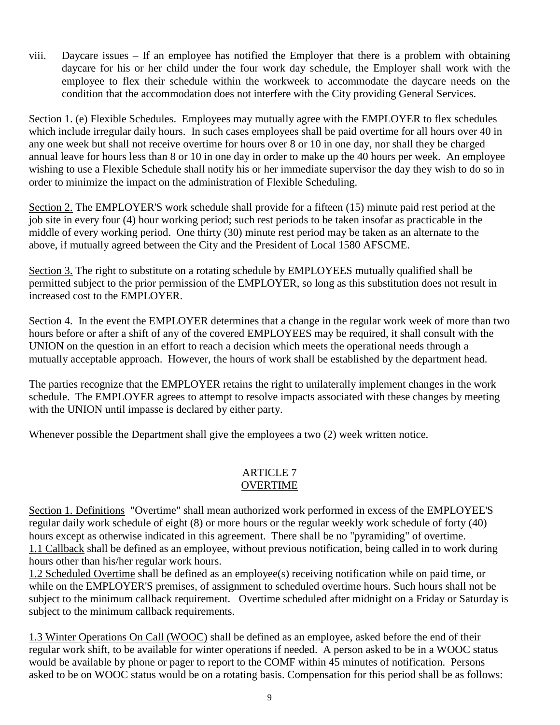viii. Daycare issues – If an employee has notified the Employer that there is a problem with obtaining daycare for his or her child under the four work day schedule, the Employer shall work with the employee to flex their schedule within the workweek to accommodate the daycare needs on the condition that the accommodation does not interfere with the City providing General Services.

Section 1. (e) Flexible Schedules. Employees may mutually agree with the EMPLOYER to flex schedules which include irregular daily hours. In such cases employees shall be paid overtime for all hours over 40 in any one week but shall not receive overtime for hours over 8 or 10 in one day, nor shall they be charged annual leave for hours less than 8 or 10 in one day in order to make up the 40 hours per week. An employee wishing to use a Flexible Schedule shall notify his or her immediate supervisor the day they wish to do so in order to minimize the impact on the administration of Flexible Scheduling.

Section 2. The EMPLOYER'S work schedule shall provide for a fifteen (15) minute paid rest period at the job site in every four (4) hour working period; such rest periods to be taken insofar as practicable in the middle of every working period. One thirty (30) minute rest period may be taken as an alternate to the above, if mutually agreed between the City and the President of Local 1580 AFSCME.

Section 3. The right to substitute on a rotating schedule by EMPLOYEES mutually qualified shall be permitted subject to the prior permission of the EMPLOYER, so long as this substitution does not result in increased cost to the EMPLOYER.

Section 4. In the event the EMPLOYER determines that a change in the regular work week of more than two hours before or after a shift of any of the covered EMPLOYEES may be required, it shall consult with the UNION on the question in an effort to reach a decision which meets the operational needs through a mutually acceptable approach. However, the hours of work shall be established by the department head.

The parties recognize that the EMPLOYER retains the right to unilaterally implement changes in the work schedule. The EMPLOYER agrees to attempt to resolve impacts associated with these changes by meeting with the UNION until impasse is declared by either party.

Whenever possible the Department shall give the employees a two (2) week written notice.

# ARTICLE 7

# OVERTIME

Section 1. Definitions "Overtime" shall mean authorized work performed in excess of the EMPLOYEE'S regular daily work schedule of eight (8) or more hours or the regular weekly work schedule of forty (40) hours except as otherwise indicated in this agreement. There shall be no "pyramiding" of overtime. 1.1 Callback shall be defined as an employee, without previous notification, being called in to work during hours other than his/her regular work hours.

1.2 Scheduled Overtime shall be defined as an employee(s) receiving notification while on paid time, or while on the EMPLOYER'S premises, of assignment to scheduled overtime hours. Such hours shall not be subject to the minimum callback requirement. Overtime scheduled after midnight on a Friday or Saturday is subject to the minimum callback requirements.

1.3 Winter Operations On Call (WOOC) shall be defined as an employee, asked before the end of their regular work shift, to be available for winter operations if needed. A person asked to be in a WOOC status would be available by phone or pager to report to the COMF within 45 minutes of notification. Persons asked to be on WOOC status would be on a rotating basis. Compensation for this period shall be as follows: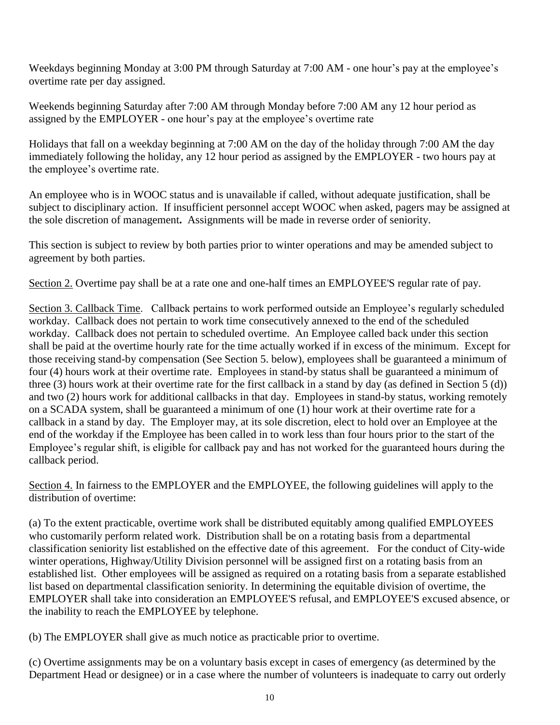Weekdays beginning Monday at 3:00 PM through Saturday at 7:00 AM - one hour's pay at the employee's overtime rate per day assigned.

Weekends beginning Saturday after 7:00 AM through Monday before 7:00 AM any 12 hour period as assigned by the EMPLOYER - one hour's pay at the employee's overtime rate

Holidays that fall on a weekday beginning at 7:00 AM on the day of the holiday through 7:00 AM the day immediately following the holiday, any 12 hour period as assigned by the EMPLOYER - two hours pay at the employee's overtime rate.

An employee who is in WOOC status and is unavailable if called, without adequate justification, shall be subject to disciplinary action. If insufficient personnel accept WOOC when asked, pagers may be assigned at the sole discretion of management**.** Assignments will be made in reverse order of seniority.

This section is subject to review by both parties prior to winter operations and may be amended subject to agreement by both parties.

Section 2. Overtime pay shall be at a rate one and one-half times an EMPLOYEE'S regular rate of pay.

Section 3. Callback Time. Callback pertains to work performed outside an Employee's regularly scheduled workday. Callback does not pertain to work time consecutively annexed to the end of the scheduled workday. Callback does not pertain to scheduled overtime. An Employee called back under this section shall be paid at the overtime hourly rate for the time actually worked if in excess of the minimum. Except for those receiving stand-by compensation (See Section 5. below), employees shall be guaranteed a minimum of four (4) hours work at their overtime rate. Employees in stand-by status shall be guaranteed a minimum of three (3) hours work at their overtime rate for the first callback in a stand by day (as defined in Section 5 (d)) and two (2) hours work for additional callbacks in that day. Employees in stand-by status, working remotely on a SCADA system, shall be guaranteed a minimum of one (1) hour work at their overtime rate for a callback in a stand by day. The Employer may, at its sole discretion, elect to hold over an Employee at the end of the workday if the Employee has been called in to work less than four hours prior to the start of the Employee's regular shift, is eligible for callback pay and has not worked for the guaranteed hours during the callback period.

Section 4. In fairness to the EMPLOYER and the EMPLOYEE, the following guidelines will apply to the distribution of overtime:

(a) To the extent practicable, overtime work shall be distributed equitably among qualified EMPLOYEES who customarily perform related work. Distribution shall be on a rotating basis from a departmental classification seniority list established on the effective date of this agreement. For the conduct of City-wide winter operations, Highway/Utility Division personnel will be assigned first on a rotating basis from an established list. Other employees will be assigned as required on a rotating basis from a separate established list based on departmental classification seniority. In determining the equitable division of overtime, the EMPLOYER shall take into consideration an EMPLOYEE'S refusal, and EMPLOYEE'S excused absence, or the inability to reach the EMPLOYEE by telephone.

(b) The EMPLOYER shall give as much notice as practicable prior to overtime.

(c) Overtime assignments may be on a voluntary basis except in cases of emergency (as determined by the Department Head or designee) or in a case where the number of volunteers is inadequate to carry out orderly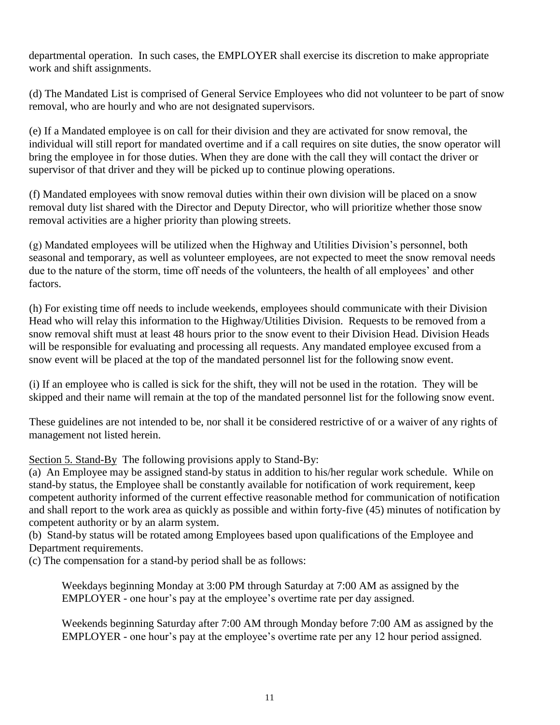departmental operation. In such cases, the EMPLOYER shall exercise its discretion to make appropriate work and shift assignments.

(d) The Mandated List is comprised of General Service Employees who did not volunteer to be part of snow removal, who are hourly and who are not designated supervisors.

(e) If a Mandated employee is on call for their division and they are activated for snow removal, the individual will still report for mandated overtime and if a call requires on site duties, the snow operator will bring the employee in for those duties. When they are done with the call they will contact the driver or supervisor of that driver and they will be picked up to continue plowing operations.

(f) Mandated employees with snow removal duties within their own division will be placed on a snow removal duty list shared with the Director and Deputy Director, who will prioritize whether those snow removal activities are a higher priority than plowing streets.

(g) Mandated employees will be utilized when the Highway and Utilities Division's personnel, both seasonal and temporary, as well as volunteer employees, are not expected to meet the snow removal needs due to the nature of the storm, time off needs of the volunteers, the health of all employees' and other factors.

(h) For existing time off needs to include weekends, employees should communicate with their Division Head who will relay this information to the Highway/Utilities Division. Requests to be removed from a snow removal shift must at least 48 hours prior to the snow event to their Division Head. Division Heads will be responsible for evaluating and processing all requests. Any mandated employee excused from a snow event will be placed at the top of the mandated personnel list for the following snow event.

(i) If an employee who is called is sick for the shift, they will not be used in the rotation. They will be skipped and their name will remain at the top of the mandated personnel list for the following snow event.

These guidelines are not intended to be, nor shall it be considered restrictive of or a waiver of any rights of management not listed herein.

Section 5. Stand-By The following provisions apply to Stand-By:

(a) An Employee may be assigned stand-by status in addition to his/her regular work schedule. While on stand-by status, the Employee shall be constantly available for notification of work requirement, keep competent authority informed of the current effective reasonable method for communication of notification and shall report to the work area as quickly as possible and within forty-five (45) minutes of notification by competent authority or by an alarm system.

(b) Stand-by status will be rotated among Employees based upon qualifications of the Employee and Department requirements.

(c) The compensation for a stand-by period shall be as follows:

Weekdays beginning Monday at 3:00 PM through Saturday at 7:00 AM as assigned by the EMPLOYER - one hour's pay at the employee's overtime rate per day assigned.

Weekends beginning Saturday after 7:00 AM through Monday before 7:00 AM as assigned by the EMPLOYER - one hour's pay at the employee's overtime rate per any 12 hour period assigned.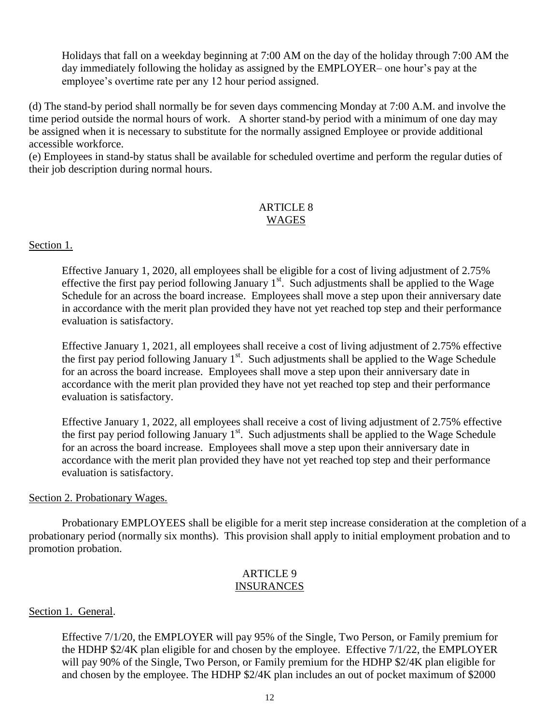Holidays that fall on a weekday beginning at 7:00 AM on the day of the holiday through 7:00 AM the day immediately following the holiday as assigned by the EMPLOYER– one hour's pay at the employee's overtime rate per any 12 hour period assigned.

(d) The stand-by period shall normally be for seven days commencing Monday at 7:00 A.M. and involve the time period outside the normal hours of work. A shorter stand-by period with a minimum of one day may be assigned when it is necessary to substitute for the normally assigned Employee or provide additional accessible workforce.

(e) Employees in stand-by status shall be available for scheduled overtime and perform the regular duties of their job description during normal hours.

## ARTICLE 8 WAGES

## Section 1.

Effective January 1, 2020, all employees shall be eligible for a cost of living adjustment of 2.75% effective the first pay period following January  $1<sup>st</sup>$ . Such adjustments shall be applied to the Wage Schedule for an across the board increase. Employees shall move a step upon their anniversary date in accordance with the merit plan provided they have not yet reached top step and their performance evaluation is satisfactory.

Effective January 1, 2021, all employees shall receive a cost of living adjustment of 2.75% effective the first pay period following January  $1<sup>st</sup>$ . Such adjustments shall be applied to the Wage Schedule for an across the board increase. Employees shall move a step upon their anniversary date in accordance with the merit plan provided they have not yet reached top step and their performance evaluation is satisfactory.

Effective January 1, 2022, all employees shall receive a cost of living adjustment of 2.75% effective the first pay period following January  $1<sup>st</sup>$ . Such adjustments shall be applied to the Wage Schedule for an across the board increase. Employees shall move a step upon their anniversary date in accordance with the merit plan provided they have not yet reached top step and their performance evaluation is satisfactory.

#### Section 2. Probationary Wages.

Probationary EMPLOYEES shall be eligible for a merit step increase consideration at the completion of a probationary period (normally six months). This provision shall apply to initial employment probation and to promotion probation.

#### ARTICLE 9 INSURANCES

## Section 1. General.

Effective 7/1/20, the EMPLOYER will pay 95% of the Single, Two Person, or Family premium for the HDHP \$2/4K plan eligible for and chosen by the employee. Effective 7/1/22, the EMPLOYER will pay 90% of the Single, Two Person, or Family premium for the HDHP \$2/4K plan eligible for and chosen by the employee. The HDHP \$2/4K plan includes an out of pocket maximum of \$2000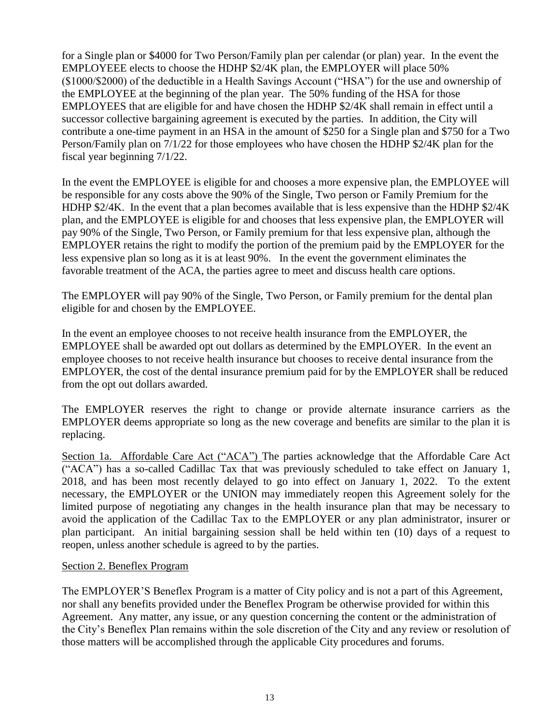for a Single plan or \$4000 for Two Person/Family plan per calendar (or plan) year. In the event the EMPLOYEEE elects to choose the HDHP \$2/4K plan, the EMPLOYER will place 50% (\$1000/\$2000) of the deductible in a Health Savings Account ("HSA") for the use and ownership of the EMPLOYEE at the beginning of the plan year. The 50% funding of the HSA for those EMPLOYEES that are eligible for and have chosen the HDHP \$2/4K shall remain in effect until a successor collective bargaining agreement is executed by the parties. In addition, the City will contribute a one-time payment in an HSA in the amount of \$250 for a Single plan and \$750 for a Two Person/Family plan on 7/1/22 for those employees who have chosen the HDHP \$2/4K plan for the fiscal year beginning 7/1/22.

In the event the EMPLOYEE is eligible for and chooses a more expensive plan, the EMPLOYEE will be responsible for any costs above the 90% of the Single, Two person or Family Premium for the HDHP \$2/4K. In the event that a plan becomes available that is less expensive than the HDHP \$2/4K plan, and the EMPLOYEE is eligible for and chooses that less expensive plan, the EMPLOYER will pay 90% of the Single, Two Person, or Family premium for that less expensive plan, although the EMPLOYER retains the right to modify the portion of the premium paid by the EMPLOYER for the less expensive plan so long as it is at least 90%. In the event the government eliminates the favorable treatment of the ACA, the parties agree to meet and discuss health care options.

The EMPLOYER will pay 90% of the Single, Two Person, or Family premium for the dental plan eligible for and chosen by the EMPLOYEE.

In the event an employee chooses to not receive health insurance from the EMPLOYER, the EMPLOYEE shall be awarded opt out dollars as determined by the EMPLOYER. In the event an employee chooses to not receive health insurance but chooses to receive dental insurance from the EMPLOYER, the cost of the dental insurance premium paid for by the EMPLOYER shall be reduced from the opt out dollars awarded.

The EMPLOYER reserves the right to change or provide alternate insurance carriers as the EMPLOYER deems appropriate so long as the new coverage and benefits are similar to the plan it is replacing.

Section 1a. Affordable Care Act ("ACA") The parties acknowledge that the Affordable Care Act ("ACA") has a so-called Cadillac Tax that was previously scheduled to take effect on January 1, 2018, and has been most recently delayed to go into effect on January 1, 2022. To the extent necessary, the EMPLOYER or the UNION may immediately reopen this Agreement solely for the limited purpose of negotiating any changes in the health insurance plan that may be necessary to avoid the application of the Cadillac Tax to the EMPLOYER or any plan administrator, insurer or plan participant. An initial bargaining session shall be held within ten (10) days of a request to reopen, unless another schedule is agreed to by the parties.

#### Section 2. Beneflex Program

The EMPLOYER'S Beneflex Program is a matter of City policy and is not a part of this Agreement, nor shall any benefits provided under the Beneflex Program be otherwise provided for within this Agreement. Any matter, any issue, or any question concerning the content or the administration of the City's Beneflex Plan remains within the sole discretion of the City and any review or resolution of those matters will be accomplished through the applicable City procedures and forums.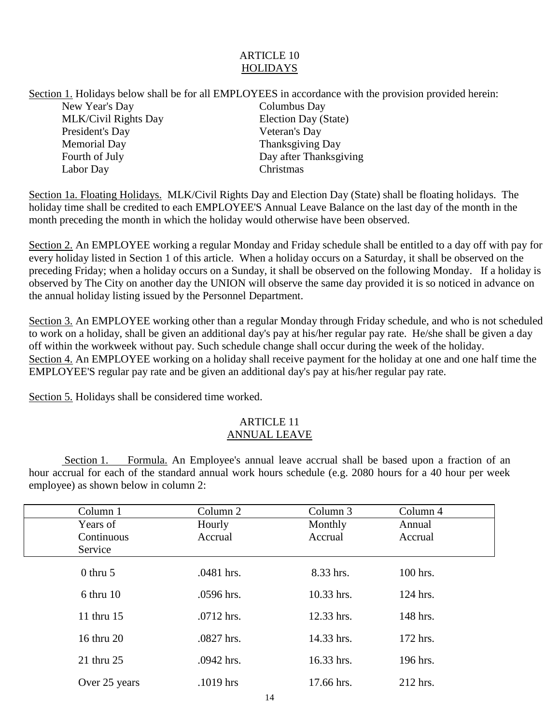# ARTICLE 10 **HOLIDAYS**

Section 1. Holidays below shall be for all EMPLOYEES in accordance with the provision provided herein: New Year's Day Columbus Day MLK/Civil Rights Day Election Day (State) President's Day Veteran's Day Memorial Day Thanksgiving Day Fourth of July Day after Thanksgiving Labor Day Christmas

Section 1a. Floating Holidays. MLK/Civil Rights Day and Election Day (State) shall be floating holidays. The holiday time shall be credited to each EMPLOYEE'S Annual Leave Balance on the last day of the month in the month preceding the month in which the holiday would otherwise have been observed.

Section 2. An EMPLOYEE working a regular Monday and Friday schedule shall be entitled to a day off with pay for every holiday listed in Section 1 of this article. When a holiday occurs on a Saturday, it shall be observed on the preceding Friday; when a holiday occurs on a Sunday, it shall be observed on the following Monday. If a holiday is observed by The City on another day the UNION will observe the same day provided it is so noticed in advance on the annual holiday listing issued by the Personnel Department.

Section 3. An EMPLOYEE working other than a regular Monday through Friday schedule, and who is not scheduled to work on a holiday, shall be given an additional day's pay at his/her regular pay rate. He/she shall be given a day off within the workweek without pay. Such schedule change shall occur during the week of the holiday. Section 4. An EMPLOYEE working on a holiday shall receive payment for the holiday at one and one half time the EMPLOYEE'S regular pay rate and be given an additional day's pay at his/her regular pay rate.

Section 5. Holidays shall be considered time worked.

#### ARTICLE 11 ANNUAL LEAVE

Section 1. Formula. An Employee's annual leave accrual shall be based upon a fraction of an hour accrual for each of the standard annual work hours schedule (e.g. 2080 hours for a 40 hour per week employee) as shown below in column 2:

| Column 1      | Column 2   | Column 3   | Column 4 |  |
|---------------|------------|------------|----------|--|
| Years of      | Hourly     | Monthly    | Annual   |  |
| Continuous    | Accrual    | Accrual    | Accrual  |  |
| Service       |            |            |          |  |
| $0$ thru $5$  | .0481 hrs. | 8.33 hrs.  | 100 hrs. |  |
| $6$ thru $10$ | .0596 hrs. | 10.33 hrs. | 124 hrs. |  |
| 11 thru 15    | .0712 hrs. | 12.33 hrs. | 148 hrs. |  |
| 16 thru 20    | .0827 hrs. | 14.33 hrs. | 172 hrs. |  |
| 21 thru 25    | .0942 hrs. | 16.33 hrs. | 196 hrs. |  |
| Over 25 years | .1019 hrs  | 17.66 hrs. | 212 hrs. |  |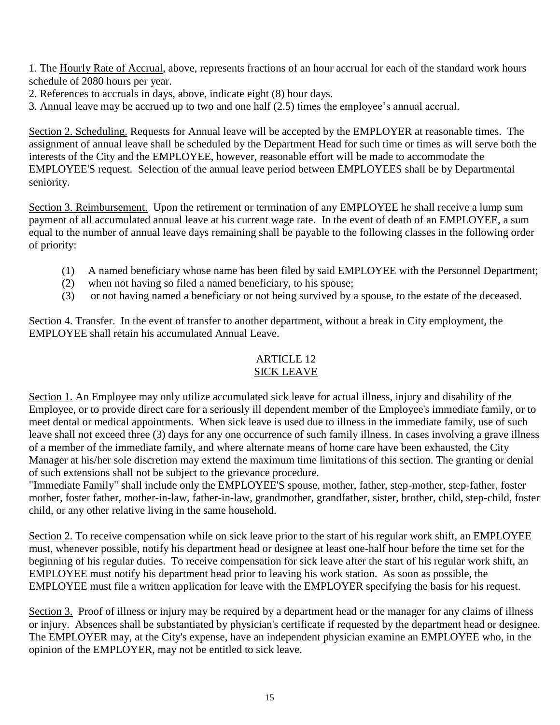1. The Hourly Rate of Accrual, above, represents fractions of an hour accrual for each of the standard work hours schedule of 2080 hours per year.

- 2. References to accruals in days, above, indicate eight (8) hour days.
- 3. Annual leave may be accrued up to two and one half (2.5) times the employee's annual accrual.

Section 2. Scheduling. Requests for Annual leave will be accepted by the EMPLOYER at reasonable times. The assignment of annual leave shall be scheduled by the Department Head for such time or times as will serve both the interests of the City and the EMPLOYEE, however, reasonable effort will be made to accommodate the EMPLOYEE'S request. Selection of the annual leave period between EMPLOYEES shall be by Departmental seniority.

Section 3. Reimbursement. Upon the retirement or termination of any EMPLOYEE he shall receive a lump sum payment of all accumulated annual leave at his current wage rate. In the event of death of an EMPLOYEE, a sum equal to the number of annual leave days remaining shall be payable to the following classes in the following order of priority:

- (1) A named beneficiary whose name has been filed by said EMPLOYEE with the Personnel Department;
- (2) when not having so filed a named beneficiary, to his spouse;
- (3) or not having named a beneficiary or not being survived by a spouse, to the estate of the deceased.

Section 4. Transfer. In the event of transfer to another department, without a break in City employment, the EMPLOYEE shall retain his accumulated Annual Leave.

# ARTICLE 12

# SICK LEAVE

Section 1. An Employee may only utilize accumulated sick leave for actual illness, injury and disability of the Employee, or to provide direct care for a seriously ill dependent member of the Employee's immediate family, or to meet dental or medical appointments. When sick leave is used due to illness in the immediate family, use of such leave shall not exceed three (3) days for any one occurrence of such family illness. In cases involving a grave illness of a member of the immediate family, and where alternate means of home care have been exhausted, the City Manager at his/her sole discretion may extend the maximum time limitations of this section. The granting or denial of such extensions shall not be subject to the grievance procedure.

"Immediate Family" shall include only the EMPLOYEE'S spouse, mother, father, step-mother, step-father, foster mother, foster father, mother-in-law, father-in-law, grandmother, grandfather, sister, brother, child, step-child, foster child, or any other relative living in the same household.

Section 2. To receive compensation while on sick leave prior to the start of his regular work shift, an EMPLOYEE must, whenever possible, notify his department head or designee at least one-half hour before the time set for the beginning of his regular duties. To receive compensation for sick leave after the start of his regular work shift, an EMPLOYEE must notify his department head prior to leaving his work station. As soon as possible, the EMPLOYEE must file a written application for leave with the EMPLOYER specifying the basis for his request.

Section 3. Proof of illness or injury may be required by a department head or the manager for any claims of illness or injury. Absences shall be substantiated by physician's certificate if requested by the department head or designee. The EMPLOYER may, at the City's expense, have an independent physician examine an EMPLOYEE who, in the opinion of the EMPLOYER, may not be entitled to sick leave.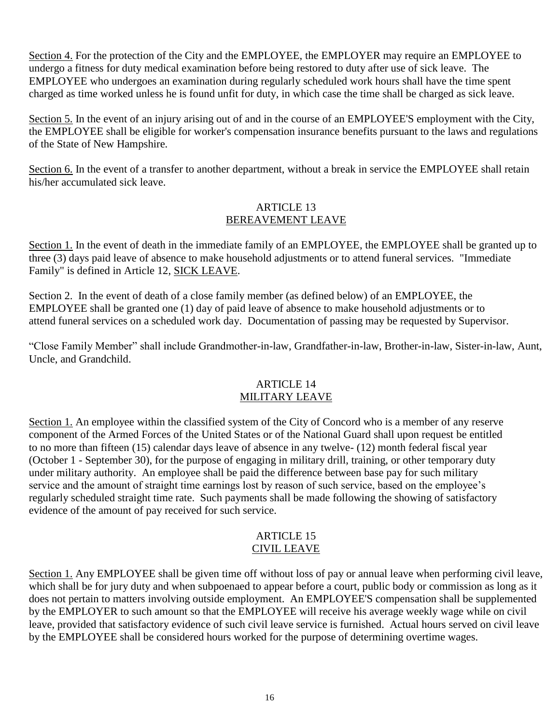Section 4. For the protection of the City and the EMPLOYEE, the EMPLOYER may require an EMPLOYEE to undergo a fitness for duty medical examination before being restored to duty after use of sick leave. The EMPLOYEE who undergoes an examination during regularly scheduled work hours shall have the time spent charged as time worked unless he is found unfit for duty, in which case the time shall be charged as sick leave.

Section 5. In the event of an injury arising out of and in the course of an EMPLOYEE'S employment with the City, the EMPLOYEE shall be eligible for worker's compensation insurance benefits pursuant to the laws and regulations of the State of New Hampshire.

Section 6. In the event of a transfer to another department, without a break in service the EMPLOYEE shall retain his/her accumulated sick leave.

## ARTICLE 13 BEREAVEMENT LEAVE

Section 1. In the event of death in the immediate family of an EMPLOYEE, the EMPLOYEE shall be granted up to three (3) days paid leave of absence to make household adjustments or to attend funeral services. "Immediate Family" is defined in Article 12, SICK LEAVE.

Section 2. In the event of death of a close family member (as defined below) of an EMPLOYEE, the EMPLOYEE shall be granted one (1) day of paid leave of absence to make household adjustments or to attend funeral services on a scheduled work day. Documentation of passing may be requested by Supervisor.

"Close Family Member" shall include Grandmother-in-law, Grandfather-in-law, Brother-in-law, Sister-in-law, Aunt, Uncle, and Grandchild.

#### ARTICLE 14 MILITARY LEAVE

Section 1. An employee within the classified system of the City of Concord who is a member of any reserve component of the Armed Forces of the United States or of the National Guard shall upon request be entitled to no more than fifteen (15) calendar days leave of absence in any twelve- (12) month federal fiscal year (October 1 - September 30), for the purpose of engaging in military drill, training, or other temporary duty under military authority. An employee shall be paid the difference between base pay for such military service and the amount of straight time earnings lost by reason of such service, based on the employee's regularly scheduled straight time rate. Such payments shall be made following the showing of satisfactory evidence of the amount of pay received for such service.

#### ARTICLE 15 CIVIL LEAVE

Section 1. Any EMPLOYEE shall be given time off without loss of pay or annual leave when performing civil leave, which shall be for jury duty and when subpoenaed to appear before a court, public body or commission as long as it does not pertain to matters involving outside employment. An EMPLOYEE'S compensation shall be supplemented by the EMPLOYER to such amount so that the EMPLOYEE will receive his average weekly wage while on civil leave, provided that satisfactory evidence of such civil leave service is furnished. Actual hours served on civil leave by the EMPLOYEE shall be considered hours worked for the purpose of determining overtime wages.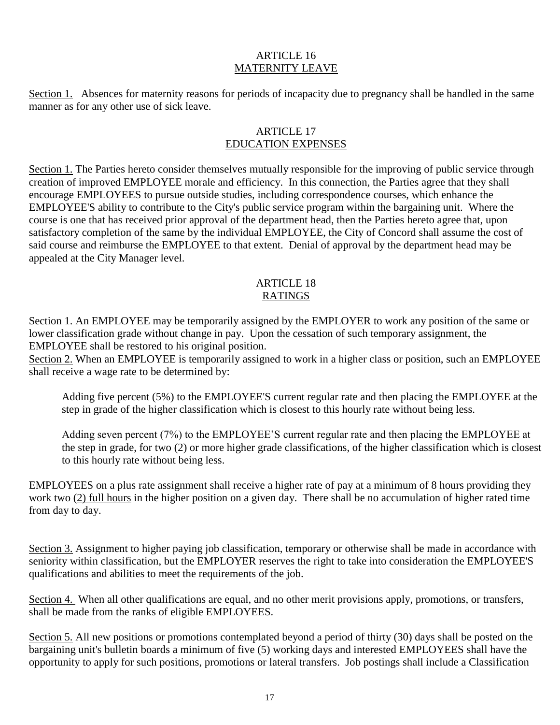## ARTICLE 16 MATERNITY LEAVE

Section 1. Absences for maternity reasons for periods of incapacity due to pregnancy shall be handled in the same manner as for any other use of sick leave.

## ARTICLE 17 EDUCATION EXPENSES

Section 1. The Parties hereto consider themselves mutually responsible for the improving of public service through creation of improved EMPLOYEE morale and efficiency. In this connection, the Parties agree that they shall encourage EMPLOYEES to pursue outside studies, including correspondence courses, which enhance the EMPLOYEE'S ability to contribute to the City's public service program within the bargaining unit. Where the course is one that has received prior approval of the department head, then the Parties hereto agree that, upon satisfactory completion of the same by the individual EMPLOYEE, the City of Concord shall assume the cost of said course and reimburse the EMPLOYEE to that extent. Denial of approval by the department head may be appealed at the City Manager level.

## ARTICLE 18 RATINGS

Section 1. An EMPLOYEE may be temporarily assigned by the EMPLOYER to work any position of the same or lower classification grade without change in pay. Upon the cessation of such temporary assignment, the EMPLOYEE shall be restored to his original position.

Section 2. When an EMPLOYEE is temporarily assigned to work in a higher class or position, such an EMPLOYEE shall receive a wage rate to be determined by:

Adding five percent (5%) to the EMPLOYEE'S current regular rate and then placing the EMPLOYEE at the step in grade of the higher classification which is closest to this hourly rate without being less.

Adding seven percent (7%) to the EMPLOYEE'S current regular rate and then placing the EMPLOYEE at the step in grade, for two (2) or more higher grade classifications, of the higher classification which is closest to this hourly rate without being less.

EMPLOYEES on a plus rate assignment shall receive a higher rate of pay at a minimum of 8 hours providing they work two (2) full hours in the higher position on a given day. There shall be no accumulation of higher rated time from day to day.

Section 3. Assignment to higher paying job classification, temporary or otherwise shall be made in accordance with seniority within classification, but the EMPLOYER reserves the right to take into consideration the EMPLOYEE'S qualifications and abilities to meet the requirements of the job.

Section 4. When all other qualifications are equal, and no other merit provisions apply, promotions, or transfers, shall be made from the ranks of eligible EMPLOYEES.

Section 5. All new positions or promotions contemplated beyond a period of thirty (30) days shall be posted on the bargaining unit's bulletin boards a minimum of five (5) working days and interested EMPLOYEES shall have the opportunity to apply for such positions, promotions or lateral transfers. Job postings shall include a Classification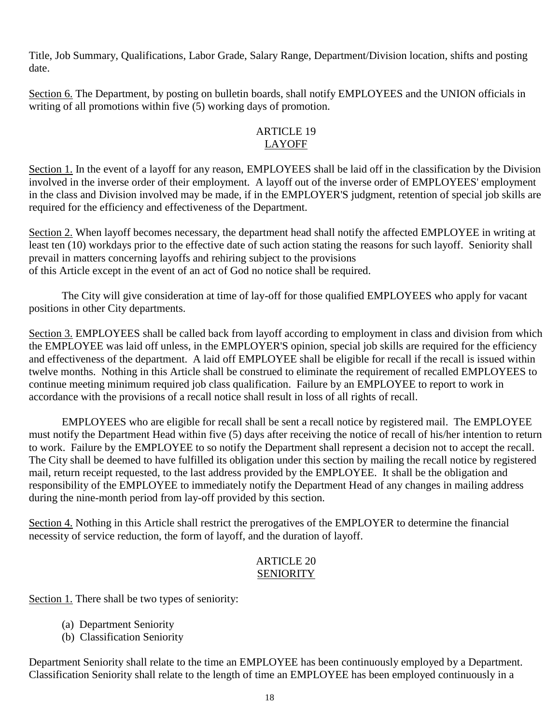Title, Job Summary, Qualifications, Labor Grade, Salary Range, Department/Division location, shifts and posting date.

Section 6. The Department, by posting on bulletin boards, shall notify EMPLOYEES and the UNION officials in writing of all promotions within five (5) working days of promotion.

# ARTICLE 19 LAYOFF

Section 1. In the event of a layoff for any reason, EMPLOYEES shall be laid off in the classification by the Division involved in the inverse order of their employment. A layoff out of the inverse order of EMPLOYEES' employment in the class and Division involved may be made, if in the EMPLOYER'S judgment, retention of special job skills are required for the efficiency and effectiveness of the Department.

Section 2. When layoff becomes necessary, the department head shall notify the affected EMPLOYEE in writing at least ten (10) workdays prior to the effective date of such action stating the reasons for such layoff. Seniority shall prevail in matters concerning layoffs and rehiring subject to the provisions of this Article except in the event of an act of God no notice shall be required.

The City will give consideration at time of lay-off for those qualified EMPLOYEES who apply for vacant positions in other City departments.

Section 3. EMPLOYEES shall be called back from layoff according to employment in class and division from which the EMPLOYEE was laid off unless, in the EMPLOYER'S opinion, special job skills are required for the efficiency and effectiveness of the department. A laid off EMPLOYEE shall be eligible for recall if the recall is issued within twelve months. Nothing in this Article shall be construed to eliminate the requirement of recalled EMPLOYEES to continue meeting minimum required job class qualification. Failure by an EMPLOYEE to report to work in accordance with the provisions of a recall notice shall result in loss of all rights of recall.

EMPLOYEES who are eligible for recall shall be sent a recall notice by registered mail. The EMPLOYEE must notify the Department Head within five (5) days after receiving the notice of recall of his/her intention to return to work. Failure by the EMPLOYEE to so notify the Department shall represent a decision not to accept the recall. The City shall be deemed to have fulfilled its obligation under this section by mailing the recall notice by registered mail, return receipt requested, to the last address provided by the EMPLOYEE. It shall be the obligation and responsibility of the EMPLOYEE to immediately notify the Department Head of any changes in mailing address during the nine-month period from lay-off provided by this section.

Section 4. Nothing in this Article shall restrict the prerogatives of the EMPLOYER to determine the financial necessity of service reduction, the form of layoff, and the duration of layoff.

## ARTICLE 20 SENIORITY

Section 1. There shall be two types of seniority:

- (a) Department Seniority
- (b) Classification Seniority

Department Seniority shall relate to the time an EMPLOYEE has been continuously employed by a Department. Classification Seniority shall relate to the length of time an EMPLOYEE has been employed continuously in a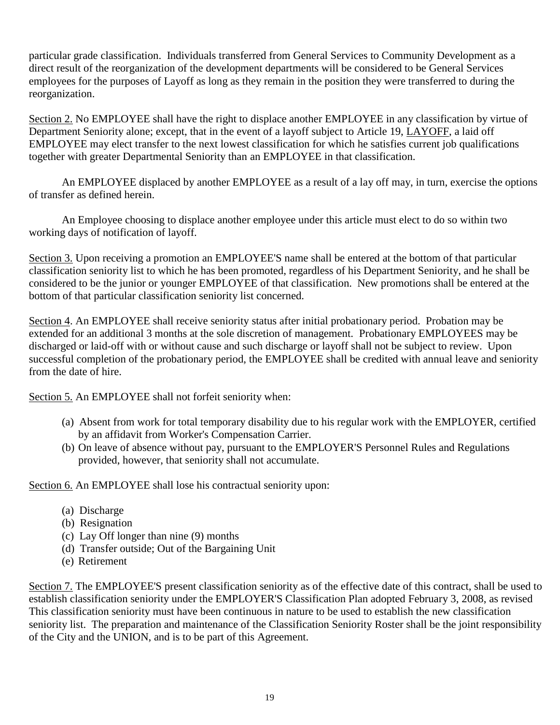particular grade classification. Individuals transferred from General Services to Community Development as a direct result of the reorganization of the development departments will be considered to be General Services employees for the purposes of Layoff as long as they remain in the position they were transferred to during the reorganization.

Section 2. No EMPLOYEE shall have the right to displace another EMPLOYEE in any classification by virtue of Department Seniority alone; except, that in the event of a layoff subject to Article 19, LAYOFF, a laid off EMPLOYEE may elect transfer to the next lowest classification for which he satisfies current job qualifications together with greater Departmental Seniority than an EMPLOYEE in that classification.

An EMPLOYEE displaced by another EMPLOYEE as a result of a lay off may, in turn, exercise the options of transfer as defined herein.

An Employee choosing to displace another employee under this article must elect to do so within two working days of notification of layoff.

Section 3. Upon receiving a promotion an EMPLOYEE'S name shall be entered at the bottom of that particular classification seniority list to which he has been promoted, regardless of his Department Seniority, and he shall be considered to be the junior or younger EMPLOYEE of that classification. New promotions shall be entered at the bottom of that particular classification seniority list concerned.

Section 4. An EMPLOYEE shall receive seniority status after initial probationary period. Probation may be extended for an additional 3 months at the sole discretion of management. Probationary EMPLOYEES may be discharged or laid-off with or without cause and such discharge or layoff shall not be subject to review. Upon successful completion of the probationary period, the EMPLOYEE shall be credited with annual leave and seniority from the date of hire.

Section 5. An EMPLOYEE shall not forfeit seniority when:

- (a) Absent from work for total temporary disability due to his regular work with the EMPLOYER, certified by an affidavit from Worker's Compensation Carrier.
- (b) On leave of absence without pay, pursuant to the EMPLOYER'S Personnel Rules and Regulations provided, however, that seniority shall not accumulate.

Section 6. An EMPLOYEE shall lose his contractual seniority upon:

- (a) Discharge
- (b) Resignation
- (c) Lay Off longer than nine (9) months
- (d) Transfer outside; Out of the Bargaining Unit
- (e) Retirement

Section 7. The EMPLOYEE'S present classification seniority as of the effective date of this contract, shall be used to establish classification seniority under the EMPLOYER'S Classification Plan adopted February 3, 2008, as revised This classification seniority must have been continuous in nature to be used to establish the new classification seniority list. The preparation and maintenance of the Classification Seniority Roster shall be the joint responsibility of the City and the UNION, and is to be part of this Agreement.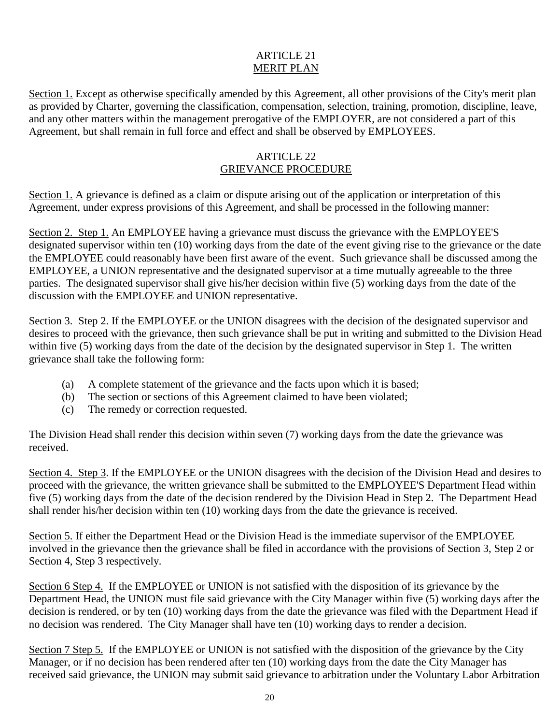# ARTICLE 21 MERIT PLAN

Section 1. Except as otherwise specifically amended by this Agreement, all other provisions of the City's merit plan as provided by Charter, governing the classification, compensation, selection, training, promotion, discipline, leave, and any other matters within the management prerogative of the EMPLOYER, are not considered a part of this Agreement, but shall remain in full force and effect and shall be observed by EMPLOYEES.

#### ARTICLE 22 GRIEVANCE PROCEDURE

Section 1. A grievance is defined as a claim or dispute arising out of the application or interpretation of this Agreement, under express provisions of this Agreement, and shall be processed in the following manner:

Section 2. Step 1. An EMPLOYEE having a grievance must discuss the grievance with the EMPLOYEE'S designated supervisor within ten (10) working days from the date of the event giving rise to the grievance or the date the EMPLOYEE could reasonably have been first aware of the event. Such grievance shall be discussed among the EMPLOYEE, a UNION representative and the designated supervisor at a time mutually agreeable to the three parties. The designated supervisor shall give his/her decision within five (5) working days from the date of the discussion with the EMPLOYEE and UNION representative.

Section 3. Step 2. If the EMPLOYEE or the UNION disagrees with the decision of the designated supervisor and desires to proceed with the grievance, then such grievance shall be put in writing and submitted to the Division Head within five (5) working days from the date of the decision by the designated supervisor in Step 1. The written grievance shall take the following form:

- (a) A complete statement of the grievance and the facts upon which it is based;
- (b) The section or sections of this Agreement claimed to have been violated;
- (c) The remedy or correction requested.

The Division Head shall render this decision within seven (7) working days from the date the grievance was received.

Section 4. Step 3. If the EMPLOYEE or the UNION disagrees with the decision of the Division Head and desires to proceed with the grievance, the written grievance shall be submitted to the EMPLOYEE'S Department Head within five (5) working days from the date of the decision rendered by the Division Head in Step 2. The Department Head shall render his/her decision within ten (10) working days from the date the grievance is received.

Section 5. If either the Department Head or the Division Head is the immediate supervisor of the EMPLOYEE involved in the grievance then the grievance shall be filed in accordance with the provisions of Section 3, Step 2 or Section 4, Step 3 respectively.

Section 6 Step 4. If the EMPLOYEE or UNION is not satisfied with the disposition of its grievance by the Department Head, the UNION must file said grievance with the City Manager within five (5) working days after the decision is rendered, or by ten (10) working days from the date the grievance was filed with the Department Head if no decision was rendered. The City Manager shall have ten (10) working days to render a decision.

Section 7 Step 5. If the EMPLOYEE or UNION is not satisfied with the disposition of the grievance by the City Manager, or if no decision has been rendered after ten (10) working days from the date the City Manager has received said grievance, the UNION may submit said grievance to arbitration under the Voluntary Labor Arbitration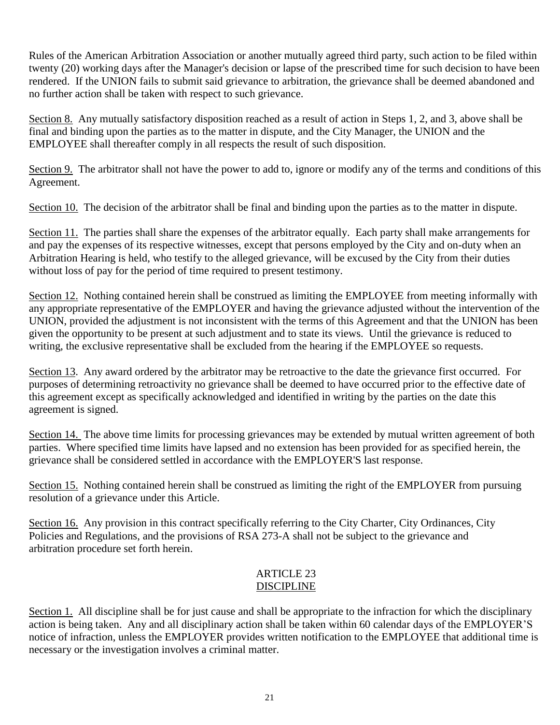Rules of the American Arbitration Association or another mutually agreed third party, such action to be filed within twenty (20) working days after the Manager's decision or lapse of the prescribed time for such decision to have been rendered. If the UNION fails to submit said grievance to arbitration, the grievance shall be deemed abandoned and no further action shall be taken with respect to such grievance.

Section 8. Any mutually satisfactory disposition reached as a result of action in Steps 1, 2, and 3, above shall be final and binding upon the parties as to the matter in dispute, and the City Manager, the UNION and the EMPLOYEE shall thereafter comply in all respects the result of such disposition.

Section 9. The arbitrator shall not have the power to add to, ignore or modify any of the terms and conditions of this Agreement.

Section 10. The decision of the arbitrator shall be final and binding upon the parties as to the matter in dispute.

Section 11. The parties shall share the expenses of the arbitrator equally. Each party shall make arrangements for and pay the expenses of its respective witnesses, except that persons employed by the City and on-duty when an Arbitration Hearing is held, who testify to the alleged grievance, will be excused by the City from their duties without loss of pay for the period of time required to present testimony.

Section 12. Nothing contained herein shall be construed as limiting the EMPLOYEE from meeting informally with any appropriate representative of the EMPLOYER and having the grievance adjusted without the intervention of the UNION, provided the adjustment is not inconsistent with the terms of this Agreement and that the UNION has been given the opportunity to be present at such adjustment and to state its views. Until the grievance is reduced to writing, the exclusive representative shall be excluded from the hearing if the EMPLOYEE so requests.

Section 13. Any award ordered by the arbitrator may be retroactive to the date the grievance first occurred. For purposes of determining retroactivity no grievance shall be deemed to have occurred prior to the effective date of this agreement except as specifically acknowledged and identified in writing by the parties on the date this agreement is signed.

Section 14. The above time limits for processing grievances may be extended by mutual written agreement of both parties. Where specified time limits have lapsed and no extension has been provided for as specified herein, the grievance shall be considered settled in accordance with the EMPLOYER'S last response.

Section 15. Nothing contained herein shall be construed as limiting the right of the EMPLOYER from pursuing resolution of a grievance under this Article.

Section 16. Any provision in this contract specifically referring to the City Charter, City Ordinances, City Policies and Regulations, and the provisions of RSA 273-A shall not be subject to the grievance and arbitration procedure set forth herein.

## ARTICLE 23 DISCIPLINE

Section 1. All discipline shall be for just cause and shall be appropriate to the infraction for which the disciplinary action is being taken. Any and all disciplinary action shall be taken within 60 calendar days of the EMPLOYER'S notice of infraction, unless the EMPLOYER provides written notification to the EMPLOYEE that additional time is necessary or the investigation involves a criminal matter.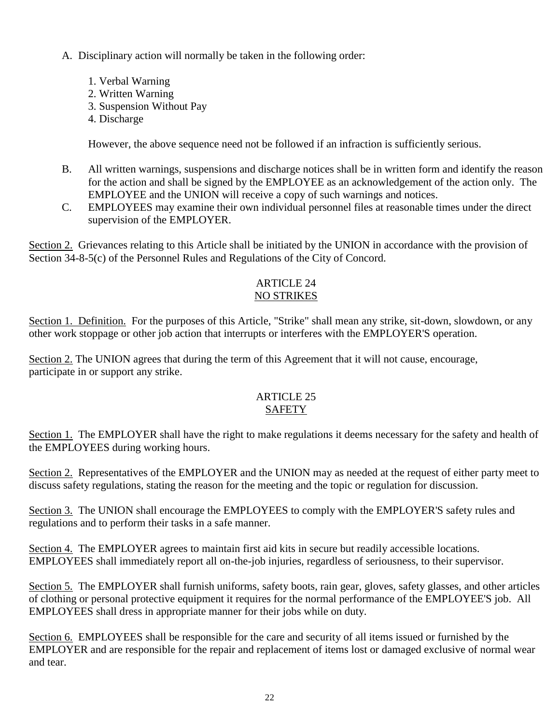- A. Disciplinary action will normally be taken in the following order:
	- 1. Verbal Warning
	- 2. Written Warning
	- 3. Suspension Without Pay
	- 4. Discharge

However, the above sequence need not be followed if an infraction is sufficiently serious.

- B. All written warnings, suspensions and discharge notices shall be in written form and identify the reason for the action and shall be signed by the EMPLOYEE as an acknowledgement of the action only. The EMPLOYEE and the UNION will receive a copy of such warnings and notices.
- C. EMPLOYEES may examine their own individual personnel files at reasonable times under the direct supervision of the EMPLOYER.

Section 2. Grievances relating to this Article shall be initiated by the UNION in accordance with the provision of Section 34-8-5(c) of the Personnel Rules and Regulations of the City of Concord.

## ARTICLE 24 NO STRIKES

Section 1. Definition. For the purposes of this Article, "Strike" shall mean any strike, sit-down, slowdown, or any other work stoppage or other job action that interrupts or interferes with the EMPLOYER'S operation.

Section 2. The UNION agrees that during the term of this Agreement that it will not cause, encourage, participate in or support any strike.

# ARTICLE 25 **SAFETY**

Section 1. The EMPLOYER shall have the right to make regulations it deems necessary for the safety and health of the EMPLOYEES during working hours.

Section 2. Representatives of the EMPLOYER and the UNION may as needed at the request of either party meet to discuss safety regulations, stating the reason for the meeting and the topic or regulation for discussion.

Section 3. The UNION shall encourage the EMPLOYEES to comply with the EMPLOYER'S safety rules and regulations and to perform their tasks in a safe manner.

Section 4. The EMPLOYER agrees to maintain first aid kits in secure but readily accessible locations. EMPLOYEES shall immediately report all on-the-job injuries, regardless of seriousness, to their supervisor.

Section 5. The EMPLOYER shall furnish uniforms, safety boots, rain gear, gloves, safety glasses, and other articles of clothing or personal protective equipment it requires for the normal performance of the EMPLOYEE'S job. All EMPLOYEES shall dress in appropriate manner for their jobs while on duty.

Section 6. EMPLOYEES shall be responsible for the care and security of all items issued or furnished by the EMPLOYER and are responsible for the repair and replacement of items lost or damaged exclusive of normal wear and tear.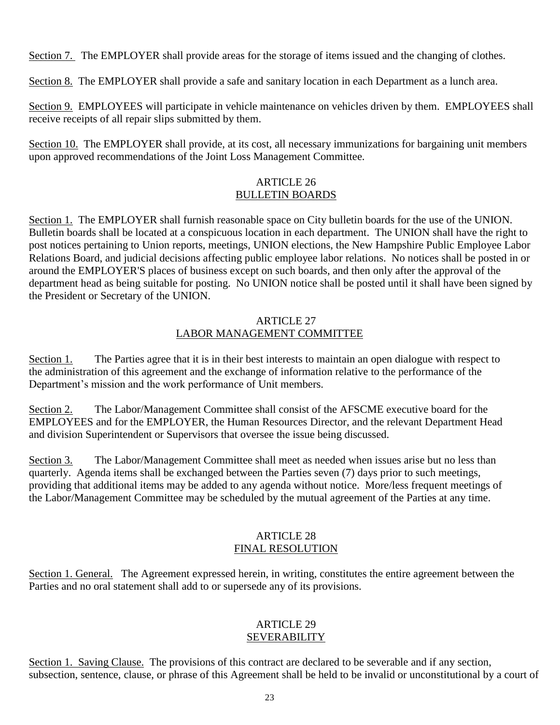Section 7. The EMPLOYER shall provide areas for the storage of items issued and the changing of clothes.

Section 8. The EMPLOYER shall provide a safe and sanitary location in each Department as a lunch area.

Section 9. EMPLOYEES will participate in vehicle maintenance on vehicles driven by them. EMPLOYEES shall receive receipts of all repair slips submitted by them.

Section 10. The EMPLOYER shall provide, at its cost, all necessary immunizations for bargaining unit members upon approved recommendations of the Joint Loss Management Committee.

# ARTICLE 26 BULLETIN BOARDS

Section 1. The EMPLOYER shall furnish reasonable space on City bulletin boards for the use of the UNION. Bulletin boards shall be located at a conspicuous location in each department. The UNION shall have the right to post notices pertaining to Union reports, meetings, UNION elections, the New Hampshire Public Employee Labor Relations Board, and judicial decisions affecting public employee labor relations. No notices shall be posted in or around the EMPLOYER'S places of business except on such boards, and then only after the approval of the department head as being suitable for posting. No UNION notice shall be posted until it shall have been signed by the President or Secretary of the UNION.

#### ARTICLE 27 LABOR MANAGEMENT COMMITTEE

Section 1. The Parties agree that it is in their best interests to maintain an open dialogue with respect to the administration of this agreement and the exchange of information relative to the performance of the Department's mission and the work performance of Unit members.

Section 2. The Labor/Management Committee shall consist of the AFSCME executive board for the EMPLOYEES and for the EMPLOYER, the Human Resources Director, and the relevant Department Head and division Superintendent or Supervisors that oversee the issue being discussed.

Section 3. The Labor/Management Committee shall meet as needed when issues arise but no less than quarterly. Agenda items shall be exchanged between the Parties seven (7) days prior to such meetings, providing that additional items may be added to any agenda without notice. More/less frequent meetings of the Labor/Management Committee may be scheduled by the mutual agreement of the Parties at any time.

## ARTICLE 28 FINAL RESOLUTION

Section 1. General. The Agreement expressed herein, in writing, constitutes the entire agreement between the Parties and no oral statement shall add to or supersede any of its provisions.

## ARTICLE 29 SEVERABILITY

Section 1. Saving Clause. The provisions of this contract are declared to be severable and if any section, subsection, sentence, clause, or phrase of this Agreement shall be held to be invalid or unconstitutional by a court of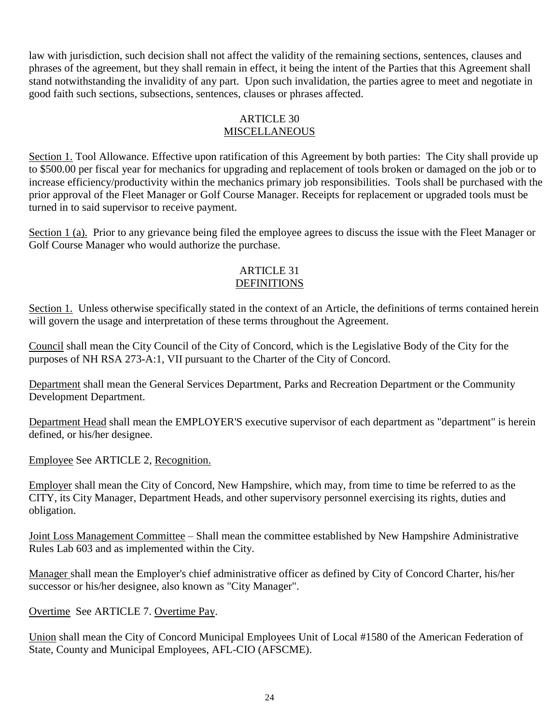law with jurisdiction, such decision shall not affect the validity of the remaining sections, sentences, clauses and phrases of the agreement, but they shall remain in effect, it being the intent of the Parties that this Agreement shall stand notwithstanding the invalidity of any part. Upon such invalidation, the parties agree to meet and negotiate in good faith such sections, subsections, sentences, clauses or phrases affected.

## ARTICLE 30 **MISCELLANEOUS**

Section 1. Tool Allowance. Effective upon ratification of this Agreement by both parties: The City shall provide up to \$500.00 per fiscal year for mechanics for upgrading and replacement of tools broken or damaged on the job or to increase efficiency/productivity within the mechanics primary job responsibilities. Tools shall be purchased with the prior approval of the Fleet Manager or Golf Course Manager. Receipts for replacement or upgraded tools must be turned in to said supervisor to receive payment.

Section 1 (a). Prior to any grievance being filed the employee agrees to discuss the issue with the Fleet Manager or Golf Course Manager who would authorize the purchase.

#### ARTICLE 31 **DEFINITIONS**

Section 1. Unless otherwise specifically stated in the context of an Article, the definitions of terms contained herein will govern the usage and interpretation of these terms throughout the Agreement.

Council shall mean the City Council of the City of Concord, which is the Legislative Body of the City for the purposes of NH RSA 273-A:1, VII pursuant to the Charter of the City of Concord.

Department shall mean the General Services Department, Parks and Recreation Department or the Community Development Department.

Department Head shall mean the EMPLOYER'S executive supervisor of each department as "department" is herein defined, or his/her designee.

Employee See ARTICLE 2, Recognition.

Employer shall mean the City of Concord, New Hampshire, which may, from time to time be referred to as the CITY, its City Manager, Department Heads, and other supervisory personnel exercising its rights, duties and obligation.

Joint Loss Management Committee – Shall mean the committee established by New Hampshire Administrative Rules Lab 603 and as implemented within the City.

Manager shall mean the Employer's chief administrative officer as defined by City of Concord Charter, his/her successor or his/her designee, also known as "City Manager".

Overtime See ARTICLE 7. Overtime Pay.

Union shall mean the City of Concord Municipal Employees Unit of Local #1580 of the American Federation of State, County and Municipal Employees, AFL-CIO (AFSCME).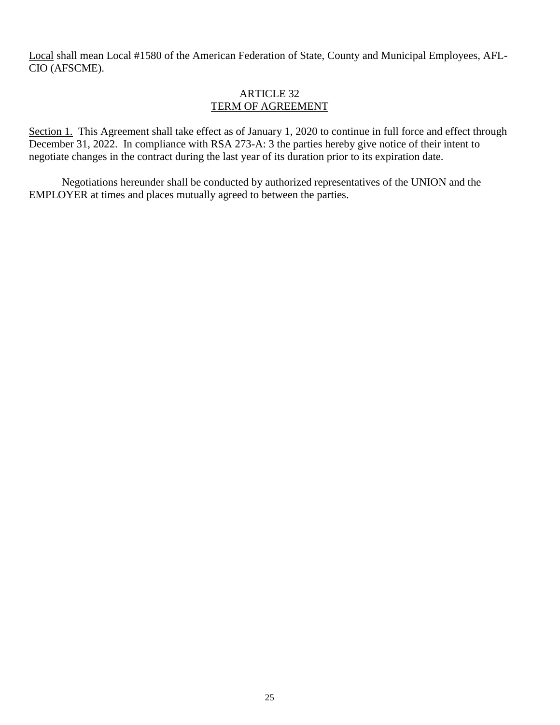Local shall mean Local #1580 of the American Federation of State, County and Municipal Employees, AFL-CIO (AFSCME).

#### ARTICLE 32 TERM OF AGREEMENT

Section 1. This Agreement shall take effect as of January 1, 2020 to continue in full force and effect through December 31, 2022. In compliance with RSA 273-A: 3 the parties hereby give notice of their intent to negotiate changes in the contract during the last year of its duration prior to its expiration date.

Negotiations hereunder shall be conducted by authorized representatives of the UNION and the EMPLOYER at times and places mutually agreed to between the parties.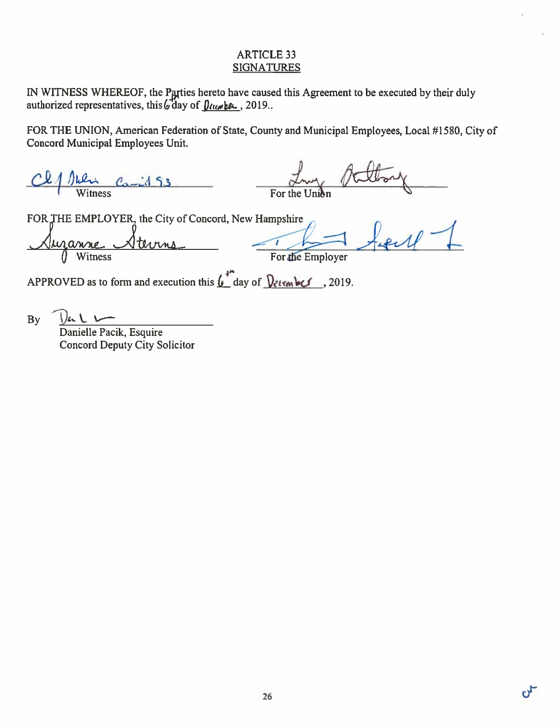## **ARTICLE 33 SIGNATURES**

IN WITNESS WHEREOF, the Parties hereto have caused this Agreement to be executed by their duly authorized representatives, this  $\int d\omega$  of  $\int \frac{ln(\omega + \beta \omega)}{2}$ , 2019.

FOR THE UNION, American Federation of State, County and Municipal Employees, Local #1580, City of Concord Municipal Employees Unit.

 $C_{\alpha \rightarrow i}$  53  $\frac{1}{\text{Witness}}$ 

FOR THE EMPLOYER, the City of Concord, New Hampshire

 $a<sub>M</sub>$ Witness

For the Employer

APPROVED as to form and execution this  $\int_{a}^{a}$  day of  $\int_{\mathcal{C}}$  level . 2019.

**By** 

 $|J_{\mu\nu}|$ Danielle Pacik, Esquire **Concord Deputy City Solicitor**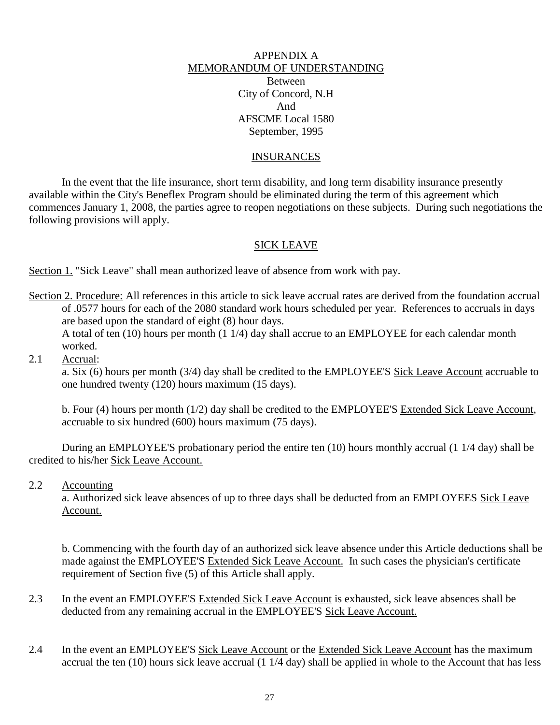## APPENDIX A MEMORANDUM OF UNDERSTANDING Between City of Concord, N.H And AFSCME Local 1580 September, 1995

#### INSURANCES

In the event that the life insurance, short term disability, and long term disability insurance presently available within the City's Beneflex Program should be eliminated during the term of this agreement which commences January 1, 2008, the parties agree to reopen negotiations on these subjects. During such negotiations the following provisions will apply.

#### SICK LEAVE

Section 1. "Sick Leave" shall mean authorized leave of absence from work with pay.

Section 2. Procedure: All references in this article to sick leave accrual rates are derived from the foundation accrual of .0577 hours for each of the 2080 standard work hours scheduled per year. References to accruals in days are based upon the standard of eight (8) hour days.

A total of ten (10) hours per month (1 1/4) day shall accrue to an EMPLOYEE for each calendar month worked.

2.1 Accrual:

a. Six (6) hours per month (3/4) day shall be credited to the EMPLOYEE'S Sick Leave Account accruable to one hundred twenty (120) hours maximum (15 days).

b. Four (4) hours per month (1/2) day shall be credited to the EMPLOYEE'S Extended Sick Leave Account, accruable to six hundred (600) hours maximum (75 days).

During an EMPLOYEE'S probationary period the entire ten (10) hours monthly accrual (1 1/4 day) shall be credited to his/her Sick Leave Account.

2.2 Accounting

a. Authorized sick leave absences of up to three days shall be deducted from an EMPLOYEES Sick Leave Account.

b. Commencing with the fourth day of an authorized sick leave absence under this Article deductions shall be made against the EMPLOYEE'S Extended Sick Leave Account. In such cases the physician's certificate requirement of Section five (5) of this Article shall apply.

- 2.3 In the event an EMPLOYEE'S Extended Sick Leave Account is exhausted, sick leave absences shall be deducted from any remaining accrual in the EMPLOYEE'S Sick Leave Account.
- 2.4 In the event an EMPLOYEE'S Sick Leave Account or the Extended Sick Leave Account has the maximum accrual the ten (10) hours sick leave accrual (1 1/4 day) shall be applied in whole to the Account that has less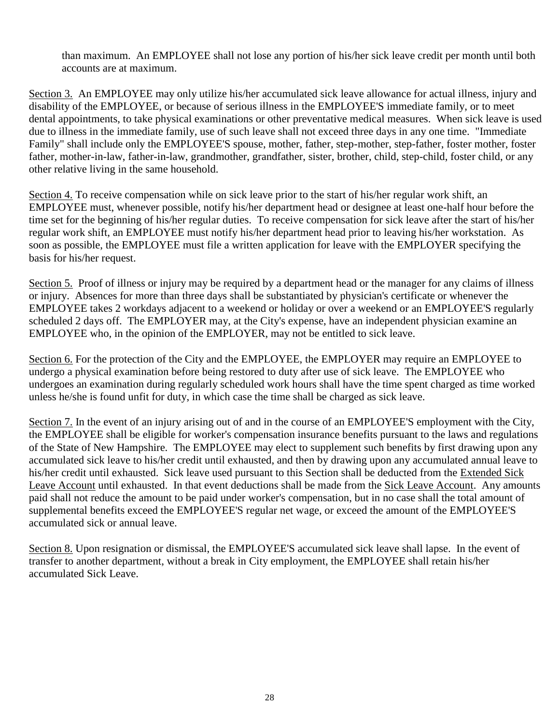than maximum. An EMPLOYEE shall not lose any portion of his/her sick leave credit per month until both accounts are at maximum.

Section 3. An EMPLOYEE may only utilize his/her accumulated sick leave allowance for actual illness, injury and disability of the EMPLOYEE, or because of serious illness in the EMPLOYEE'S immediate family, or to meet dental appointments, to take physical examinations or other preventative medical measures. When sick leave is used due to illness in the immediate family, use of such leave shall not exceed three days in any one time. "Immediate Family" shall include only the EMPLOYEE'S spouse, mother, father, step-mother, step-father, foster mother, foster father, mother-in-law, father-in-law, grandmother, grandfather, sister, brother, child, step-child, foster child, or any other relative living in the same household.

Section 4. To receive compensation while on sick leave prior to the start of his/her regular work shift, an EMPLOYEE must, whenever possible, notify his/her department head or designee at least one-half hour before the time set for the beginning of his/her regular duties. To receive compensation for sick leave after the start of his/her regular work shift, an EMPLOYEE must notify his/her department head prior to leaving his/her workstation. As soon as possible, the EMPLOYEE must file a written application for leave with the EMPLOYER specifying the basis for his/her request.

Section 5. Proof of illness or injury may be required by a department head or the manager for any claims of illness or injury. Absences for more than three days shall be substantiated by physician's certificate or whenever the EMPLOYEE takes 2 workdays adjacent to a weekend or holiday or over a weekend or an EMPLOYEE'S regularly scheduled 2 days off. The EMPLOYER may, at the City's expense, have an independent physician examine an EMPLOYEE who, in the opinion of the EMPLOYER, may not be entitled to sick leave.

Section 6. For the protection of the City and the EMPLOYEE, the EMPLOYER may require an EMPLOYEE to undergo a physical examination before being restored to duty after use of sick leave. The EMPLOYEE who undergoes an examination during regularly scheduled work hours shall have the time spent charged as time worked unless he/she is found unfit for duty, in which case the time shall be charged as sick leave.

Section 7. In the event of an injury arising out of and in the course of an EMPLOYEE'S employment with the City, the EMPLOYEE shall be eligible for worker's compensation insurance benefits pursuant to the laws and regulations of the State of New Hampshire. The EMPLOYEE may elect to supplement such benefits by first drawing upon any accumulated sick leave to his/her credit until exhausted, and then by drawing upon any accumulated annual leave to his/her credit until exhausted. Sick leave used pursuant to this Section shall be deducted from the Extended Sick Leave Account until exhausted. In that event deductions shall be made from the Sick Leave Account. Any amounts paid shall not reduce the amount to be paid under worker's compensation, but in no case shall the total amount of supplemental benefits exceed the EMPLOYEE'S regular net wage, or exceed the amount of the EMPLOYEE'S accumulated sick or annual leave.

Section 8. Upon resignation or dismissal, the EMPLOYEE'S accumulated sick leave shall lapse. In the event of transfer to another department, without a break in City employment, the EMPLOYEE shall retain his/her accumulated Sick Leave.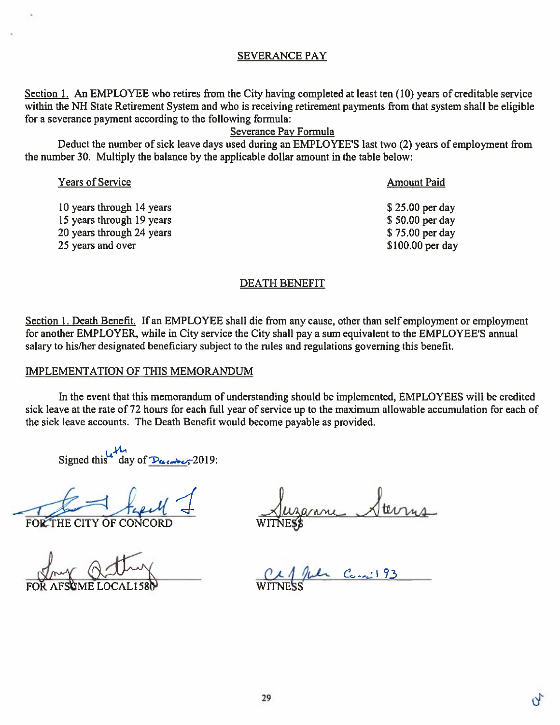## **SEVERANCE PAY**

Section 1. An EMPLOYEE who retires from the City having completed at least ten (10) years of creditable service within the NH State Retirement System and who is receiving retirement payments from that system shall be eligible for a severance payment according to the following formula:

# Severance Pay Formula

Deduct the number of sick leave days used during an EMPLOYEE'S last two (2) years of employment from the number 30. Multiply the balance by the applicable dollar amount in the table below:

| <b>Years of Service</b>   | <b>Amount Paid</b> |
|---------------------------|--------------------|
| 10 years through 14 years | $$25.00$ per day   |
| 15 years through 19 years | \$50.00 per day    |
| 20 years through 24 years | \$75.00 per day    |
| 25 years and over         | $$100.00$ per day  |
|                           |                    |

#### **DEATH BENEFIT**

Section 1. Death Benefit. If an EMPLOYEE shall die from any cause, other than self employment or employment for another EMPLOYER, while in City service the City shall pay a sum equivalent to the EMPLOYEE'S annual salary to his/her designated beneficiary subject to the rules and regulations governing this benefit.

#### **IMPLEMENTATION OF THIS MEMORANDUM**

In the event that this memorandum of understanding should be implemented, EMPLOYEES will be credited sick leave at the rate of 72 hours for each full year of service up to the maximum allowable accumulation for each of the sick leave accounts. The Death Benefit would become payable as provided.

Signed this day of  $\frac{M_1}{2019}$ .

FOR THE CITY OF CONCORD

La Cancil 93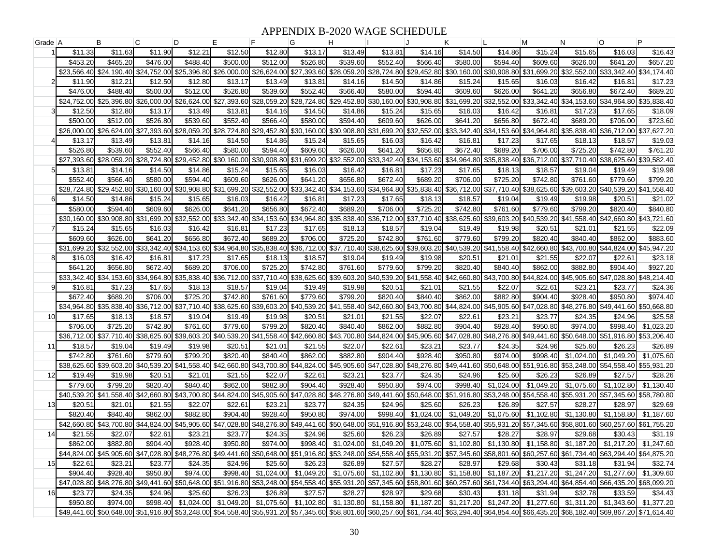## APPENDIX B-2020 WAGE SCHEDULE

| Grade A |                        | В                                   | C                       | D                                                                                                                                                                                                                       | E.                                  | F                                               | G                       | н                      |                        |                        | Κ                      |                                                                                                                                   | м                      | N                                   | $\circ$                             | P                       |
|---------|------------------------|-------------------------------------|-------------------------|-------------------------------------------------------------------------------------------------------------------------------------------------------------------------------------------------------------------------|-------------------------------------|-------------------------------------------------|-------------------------|------------------------|------------------------|------------------------|------------------------|-----------------------------------------------------------------------------------------------------------------------------------|------------------------|-------------------------------------|-------------------------------------|-------------------------|
|         | \$11.33                | \$11.63                             | \$11.90                 | \$12.21                                                                                                                                                                                                                 | \$12.50                             | \$12.80                                         | \$13.17                 | \$13.49                | \$13.81                | \$14.16                | \$14.50                | \$14.86                                                                                                                           | \$15.24                | \$15.65                             | \$16.03                             | \$16.43                 |
|         | \$453.20               | \$465.20                            | \$476.00                | \$488.40                                                                                                                                                                                                                | \$500.00                            | \$512.00                                        | \$526.80                | \$539.60               | \$552.40               | \$566.40               | \$580.00               | \$594.40                                                                                                                          | \$609.60               | \$626.00                            | \$641.20                            | \$657.20                |
|         | \$23,566.40            | \$24.190.40                         | \$24,752.00             |                                                                                                                                                                                                                         |                                     | \$25,396.80 \$26,000.00 \$26,624.00             | \$27,393.60             | \$28,059.20            | \$28,724.80            | \$29,452.80            | \$30,160.00            | \$30,908.80                                                                                                                       | \$31.699.20            | \$32,552.00                         | \$33.342.40                         | \$34,174.40             |
|         | \$11.90                | \$12.21                             | \$12.50                 | \$12.80                                                                                                                                                                                                                 | \$13.17                             | \$13.49                                         | \$13.81                 | \$14.16                | \$14.50                | \$14.86                | \$15.24                | \$15.65                                                                                                                           | \$16.03                | \$16.42                             | \$16.81                             | \$17.23                 |
|         | \$476.00               | \$488.40                            | \$500.00                | \$512.00                                                                                                                                                                                                                | \$526.80                            | \$539.60                                        | \$552.40                | \$566.40               | \$580.00               | \$594.40               | \$609.60               | \$626.00                                                                                                                          | \$641.20               | \$656.80                            | \$672.40                            | \$689.20                |
|         | \$24,752.00            | \$25,396.80                         | \$26,000.00             |                                                                                                                                                                                                                         | \$26,624.00 \$27,393.60             | \$28,059.20                                     | \$28,724.80             | \$29,452.80            | \$30,160.00            | \$30,908.80            | \$31,699.20            | \$32,552.00                                                                                                                       | \$33,342.40            | \$34,153.60                         | \$34,964.80 \$35,838.40             |                         |
|         | \$12.50                | \$12.80                             | \$13.17                 | \$13.49                                                                                                                                                                                                                 | \$13.81                             | \$14.16                                         | \$14.50                 | \$14.86                | \$15.24                | \$15.65                | \$16.03                | \$16.42                                                                                                                           | \$16.81                | \$17.23                             | \$17.65                             | \$18.09                 |
|         | \$500.00               | \$512.00                            | \$526.80                | \$539.60                                                                                                                                                                                                                | \$552.40                            | \$566.40                                        | \$580.00                | \$594.40               | \$609.60               | \$626.00               | \$641.20               | \$656.80                                                                                                                          | \$672.40               | \$689.20                            | \$706.00                            | \$723.60                |
|         | \$26,000.00            | \$26,624.00                         | \$27,393.60             | \$28,059.20                                                                                                                                                                                                             | \$28,724.80                         | \$29,452.80                                     | \$30,160.00             | \$30,908.80            | \$31,699.20            | \$32,552.00            | \$33,342.40            | \$34,153.60                                                                                                                       | \$34,964.80            | \$35,838.40                         | \$36,712,00                         | \$37,627.20             |
|         | \$13.17                | \$13.49                             | \$13.81                 | \$14.16                                                                                                                                                                                                                 | \$14.50                             | \$14.86                                         | \$15.24                 | \$15.65                | \$16.03                | \$16.42                | \$16.81                | \$17.23                                                                                                                           | \$17.65                | \$18.13                             | \$18.57                             | \$19.03                 |
|         | \$526.80               | \$539.60                            | \$552.40                | \$566.40                                                                                                                                                                                                                | \$580.00                            | \$594.40                                        | \$609.60                | \$626.00               | \$641.20               | \$656.80               | \$672.40               | \$689.20                                                                                                                          | \$706.00               | \$725.20                            | \$742.80                            | \$761.20                |
|         | \$27,393,60            | \$28,059.20                         | \$28,724.80             |                                                                                                                                                                                                                         | \$29,452.80 \$30,160.00             | \$30,908.80                                     | \$31,699.20             | \$32,552.00            | \$33,342.40            | \$34,153.60            | \$34,964.80            | \$35,838.40                                                                                                                       | \$36,712.00            | \$37,710.40                         | \$38.625.60                         | \$39,582.40             |
|         | \$13.81                | \$14.16                             | \$14.50                 | \$14.86                                                                                                                                                                                                                 | \$15.24                             | \$15.65                                         | \$16.03                 | \$16.42                | \$16.81                | \$17.23                | \$17.65                | \$18.13                                                                                                                           | \$18.57                | \$19.04                             | \$19.49                             | \$19.98                 |
|         | \$552.40               | \$566.40                            | \$580.00                | \$594.40                                                                                                                                                                                                                | \$609.60                            | \$626.00                                        | \$641.20                | \$656.80               | \$672.40               | \$689.20               | \$706.00               | \$725.20                                                                                                                          | \$742.80               | \$761.60                            | \$779.60                            | \$799.20                |
|         | \$28,724.80            |                                     | \$29,452.80 \$30,160.00 |                                                                                                                                                                                                                         | \$30,908.80 \$31,699.20             | \$32,552.00                                     | \$33,342.40             | \$34,153.60            | \$34,964.80            | \$35,838.40            | \$36,712.00            | \$37,710.40                                                                                                                       | \$38,625.60            |                                     | \$39,603.20 \$40,539.20 \$41,558.40 |                         |
| 61      | \$14.50                | \$14.86                             | \$15.24                 | \$15.65                                                                                                                                                                                                                 | \$16.03                             | \$16.42                                         | \$16.81                 | \$17.23                | \$17.65                | \$18.13                | \$18.57                | \$19.04                                                                                                                           | \$19.49                | \$19.98                             | \$20.51                             | \$21.02                 |
|         | \$580.00               | \$594.40                            | \$609.60                | \$626.00                                                                                                                                                                                                                | \$641.20                            | \$656.80                                        | \$672.40                | \$689.20               | \$706.00               | \$725.20               | \$742.80               | \$761.60                                                                                                                          | \$779.60               | \$799.20                            | \$820.40                            | \$840.80                |
|         |                        | \$30,160.00 \$30,908.80 \$31,699.20 |                         |                                                                                                                                                                                                                         |                                     | \$32,552.00 \$33,342.40 \$34,153.60             | \$34.964.80             | \$35,838.40            | \$36,712.00            | \$37,710.40            | \$38,625,60            |                                                                                                                                   |                        | \$39,603.20 \$40,539.20 \$41,558.40 |                                     | \$42,660.80 \$43,721.60 |
|         | \$15.24                | \$15.65                             | \$16.03                 | \$16.42                                                                                                                                                                                                                 | \$16.81                             | \$17.23                                         | \$17.65                 | \$18.13                | \$18.57                | \$19.04                | \$19.49                | \$19.98                                                                                                                           | \$20.51                | \$21.01                             | \$21.55                             | \$22.09                 |
|         | \$609.60               | \$626.00                            | \$641.20                | \$656.80                                                                                                                                                                                                                | \$672.40                            | \$689.20                                        | \$706.00                | \$725.20               | \$742.80               | \$761.60               | \$779.60               | \$799.20                                                                                                                          | \$820.40               | \$840.40                            | \$862.00                            | \$883.60                |
|         | \$31.699.20            | \$32,552.00                         | \$33,342.40             |                                                                                                                                                                                                                         | \$34,153.60 \$34,964.80 \$35,838.40 |                                                 | \$36,712.00             | \$37,710.40            | \$38,625.60            | \$39,603.20            | \$40,539.20            | \$41,558.40                                                                                                                       | \$42,660.80            | \$43,700.80                         | \$44,824,00                         | \$45,947.20             |
|         | \$16.03                | \$16.42                             | \$16.81                 | \$17.23                                                                                                                                                                                                                 | \$17.65                             | \$18.13                                         | \$18.57                 | \$19.04                | \$19.49                | \$19.98                | \$20.51                | \$21.01                                                                                                                           | \$21.55                | \$22.07                             | \$22.61                             | \$23.18                 |
|         | \$641.20               | \$656.80                            | \$672.40                | \$689.20                                                                                                                                                                                                                | \$706.00                            | \$725.20                                        | \$742.80                | \$761.60               | \$779.60               | \$799.20               | \$820.40               | \$840.40                                                                                                                          | \$862.00               | \$882.80                            | \$904.40                            | \$927.20                |
|         | \$33,342.40            |                                     | \$34,153.60 \$34,964.80 |                                                                                                                                                                                                                         | \$35.838.40 \$36.712.00 \$37.710.40 |                                                 | \$38,625.60             | \$39,603.20            | \$40,539.20            | \$41,558.40            | \$42,660.80            | \$43,700.80                                                                                                                       | \$44,824.00            | \$45,905.60                         |                                     | \$47,028.80 \$48,214.40 |
| q       | \$16.81                | \$17.23                             | \$17.65                 | \$18.13                                                                                                                                                                                                                 | \$18.57                             | \$19.04                                         | \$19.49                 | \$19.98                | \$20.51                | \$21.01                | \$21.55                | \$22.07                                                                                                                           | \$22.61                | \$23.21                             | \$23.77                             | \$24.36                 |
|         | \$672.40               | \$689.20                            | \$706.00                | \$725.20                                                                                                                                                                                                                | \$742.80                            | \$761.60                                        | \$779.60                | \$799.20               | \$820.40               | \$840.40               | \$862.00               | \$882.80                                                                                                                          | \$904.40               | \$928.40                            | \$950.80                            | \$974.40                |
|         | \$34,964.80            | \$35,838.40                         | \$36,712.00             | \$37,710.40                                                                                                                                                                                                             | \$38,625.60                         | \$39,603.20                                     | \$40,539.20             | \$41,558.40            | \$42,660.80            | \$43,700.80            | \$44,824.00            | \$45,905.60                                                                                                                       | \$47,028.80            | \$48,276.80                         | \$49,441.60                         | \$50,668.80             |
| 10l     | \$17.65                | \$18.13                             | \$18.57                 | \$19.04                                                                                                                                                                                                                 | \$19.49                             | \$19.98                                         | \$20.51                 | \$21.01                | \$21.55                | \$22.07                | \$22.61                | \$23.21                                                                                                                           | \$23.77                | \$24.35                             | \$24.96                             | \$25.58                 |
|         | \$706.00               | \$725.20<br>\$37,710.40             | \$742.80                | \$761.60                                                                                                                                                                                                                | \$779.60                            | \$799.20<br>\$39,603.20 \$40,539.20 \$41,558.40 | \$820.40<br>\$42,660.80 | \$840.40               | \$862.00               | \$882.80               | \$904.40               | \$928.40                                                                                                                          | \$950.80               | \$974.00                            | \$998.40                            | \$1,023.20              |
|         | \$36,712.00<br>\$18.57 | \$19.04                             | \$38,625.60<br>\$19.49  | \$19.98                                                                                                                                                                                                                 | \$20.51                             |                                                 | \$21.55                 | \$43,700.80<br>\$22.07 | \$44,824.00<br>\$22.61 | \$45,905.60<br>\$23.21 | \$47,028.80<br>\$23.77 | \$48,276.80<br>\$24.35                                                                                                            | \$49,441.60<br>\$24.96 | \$50,648.00<br>\$25.60              | \$51,916.80<br>\$26.23              | \$53,206.40<br>\$26.89  |
| 11      | \$742.80               | \$761.60                            | \$779.60                | \$799.20                                                                                                                                                                                                                | \$820.40                            | \$21.01<br>\$840.40                             | \$862.00                | \$882.80               | \$904.40               | \$928.40               | \$950.80               | \$974.00                                                                                                                          | \$998.40               | \$1,024.00                          | \$1,049.20                          | \$1,075.60              |
|         | \$38,625,60            |                                     | \$39,603.20 \$40,539.20 |                                                                                                                                                                                                                         | \$41,558.40 \$42,660.80             | \$43,700.80                                     | \$44,824.00             | \$45,905.60            | \$47,028.80            | \$48,276.80            | \$49,441.60            | \$50,648.00 \$51,916.80                                                                                                           |                        | \$53,248.00                         | \$54,558.40                         | \$55,931.20             |
| 12      | \$19.49                | \$19.98                             | \$20.51                 | \$21.01                                                                                                                                                                                                                 | \$21.55                             | \$22.07                                         | \$22.61                 | \$23.21                | \$23.77                | \$24.35                | \$24.96                | \$25.60                                                                                                                           | \$26.23                | \$26.89                             | \$27.57                             | \$28.26                 |
|         | \$779.60               | \$799.20                            | \$820.40                | \$840.40                                                                                                                                                                                                                | \$862.00                            | \$882.80                                        | \$904.40                | \$928.40               | \$950.80               | \$974.00               | \$998.40               | \$1.024.00                                                                                                                        | \$1.049.20             | \$1,075.60                          | \$1,102.80                          | \$1,130.40              |
|         | \$40,539.20            | \$41,558.40                         | \$42,660.80             |                                                                                                                                                                                                                         | \$43.700.80 \$44.824.00             | \$45,905.60                                     | \$47.028.80             | \$48,276.80            | \$49,441.60            | \$50,648.00            | \$51,916.80            | \$53,248.00                                                                                                                       | \$54.558.40            | \$55,931.20                         | \$57,345.60                         | \$58,780.80             |
| 13      | \$20.51                | \$21.01                             | \$21.55                 | \$22.07                                                                                                                                                                                                                 | \$22.61                             | \$23.21                                         | \$23.77                 | \$24.35                | \$24.96                | \$25.60                | \$26.23                | \$26.89                                                                                                                           | \$27.57                | \$28.27                             | \$28.97                             | \$29.69                 |
|         | \$820.40               | \$840.40                            | \$862.00                | \$882.80                                                                                                                                                                                                                | \$904.40                            | \$928.40                                        | \$950.80                | \$974.00               | \$998.40               | \$1,024.00             | \$1,049.20             | \$1,075.60                                                                                                                        | \$1,102.80             | \$1,130.80                          | \$1,158.80                          | \$1,187.60              |
|         | \$42,660.80            | \$43,700.80                         | \$44,824.00             | \$45,905.60                                                                                                                                                                                                             | \$47,028.80                         | \$48,276.80                                     | \$49,441.60             | \$50,648.00            | \$51,916.80            | \$53,248.00            | \$54,558.40            | \$55,931.20                                                                                                                       | \$57,345.60            | \$58,801.60                         | \$60,257.60                         | \$61,755.20             |
| 14      | \$21.55                | \$22.07                             | \$22.61                 | \$23.2'                                                                                                                                                                                                                 | \$23.77                             | \$24.35                                         | \$24.96                 | \$25.60                | \$26.23                | \$26.89                | \$27.57                | \$28.27                                                                                                                           | \$28.97                | \$29.68                             | \$30.43                             | \$31.19                 |
|         | \$862.00               | \$882.80                            | \$904.40                | \$928.40                                                                                                                                                                                                                | \$950.80                            | \$974.00                                        | \$998.40                | \$1,024.00             | \$1,049.20             | \$1,075.60             | \$1,102.80             |                                                                                                                                   | \$1,130.80 \$1,158.80  | \$1.187.20                          | \$1,217.20                          | \$1,247.60              |
|         |                        |                                     |                         | \$48,875.20 \$44,824.00 \$45,905.60 \$47,028.80 \$48,276.80 \$49,441.60 \$50,648.00 \$51,916.80 \$53,248.00 \$54,558.40 \$55,931.20 \$57,345.60 \$58,801.60 \$68,801.60 \$60,257.60 \$61,734.40 \$63,294.40 \$64,875.20 |                                     |                                                 |                         |                        |                        |                        |                        |                                                                                                                                   |                        |                                     |                                     |                         |
| 15      | \$22.61                | \$23.21                             | \$23.77                 | \$24.35                                                                                                                                                                                                                 | \$24.96                             | \$25.60                                         | \$26.23                 | \$26.89                | \$27.57                | \$28.27                | \$28.97                | \$29.68                                                                                                                           | \$30.43                | \$31.18                             | \$31.94                             | \$32.74                 |
|         | \$904.40               | \$928.40                            | \$950.80                | \$974.00                                                                                                                                                                                                                |                                     |                                                 |                         |                        |                        |                        |                        | \$998.40 \$1,024.00 \$1,049.20 \$1,075.60 \$1,102.80 \$1,130.80 \$1,158.80 \$1,187.20 \$1,217.20 \$1,247.20 \$1,277.60 \$1,309.60 |                        |                                     |                                     |                         |
|         |                        |                                     |                         | \$47,028.80 \$48,276.80 \$49,441.60 \$50,648.00 \$51,916.80 \$53,248.00 \$54,558.40 \$55,931.20 \$57,345.60 \$58,801.60 \$60,257.60 \$61,734.40 \$63,294.40 \$64,854.40 \$66,435.20 \$68,099.20                         |                                     |                                                 |                         |                        |                        |                        |                        |                                                                                                                                   |                        |                                     |                                     |                         |
| 16      | \$23.77                | \$24.35                             | \$24.96                 | \$25.60                                                                                                                                                                                                                 | \$26.23                             | \$26.89                                         | \$27.57                 | \$28.27                | \$28.97                | \$29.68                | \$30.43                | \$31.18                                                                                                                           | \$31.94                | \$32.78                             | \$33.59                             | \$34.43                 |
|         | \$950.80               | \$974.00                            |                         | \$998.40 \$1,024.00 \$1,049.20 \$1,075.60 \$1,102.80 \$1,130.80 \$1,158.80 \$1,187.20 \$1,217.20 \$1,247.20 \$1,277.60 \$1,311.20 \$1,343.60 \$1,377.20                                                                 |                                     |                                                 |                         |                        |                        |                        |                        |                                                                                                                                   |                        |                                     |                                     |                         |
|         |                        |                                     |                         | \$49,441.60 \$50,648.00 \$51,916.80 \$53,248.00 \$54,558.40 \$55,931.20 \$57,345.60 \$58,801.60 \$60,257.60 \$61,734.40 \$63,294.40 \$64,854.40 \$64,8520 \$68,135.20 \$68,182.40 \$69,867.20 \$71,614.40               |                                     |                                                 |                         |                        |                        |                        |                        |                                                                                                                                   |                        |                                     |                                     |                         |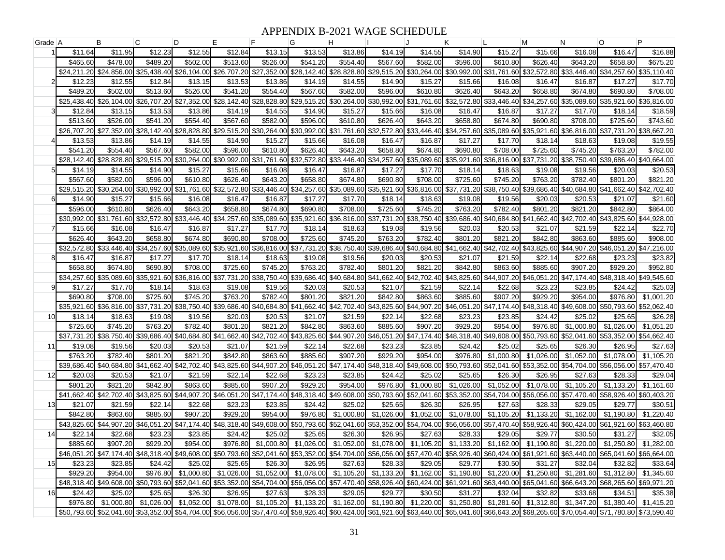## APPENDIX B-2021 WAGE SCHEDULE

| Grade A |                         | B                       | C                       | D                       | E.                                  | F                                               | G                       | н                       |                         |                         | Κ                       |                                                                                                                                                                                                 | М                       | N                                   | $\circ$                   | P                                                                                                                                                                                               |
|---------|-------------------------|-------------------------|-------------------------|-------------------------|-------------------------------------|-------------------------------------------------|-------------------------|-------------------------|-------------------------|-------------------------|-------------------------|-------------------------------------------------------------------------------------------------------------------------------------------------------------------------------------------------|-------------------------|-------------------------------------|---------------------------|-------------------------------------------------------------------------------------------------------------------------------------------------------------------------------------------------|
|         | \$11.64                 | \$11.95                 | \$12.23                 | \$12.55                 | \$12.84                             | \$13.15                                         | \$13.53                 | \$13.86                 | \$14.19                 | \$14.55                 | \$14.90                 | \$15.27                                                                                                                                                                                         | \$15.66                 | \$16.08                             | \$16.47                   | \$16.88                                                                                                                                                                                         |
|         | \$465.60                | \$478.00                | \$489.20                | \$502.00                | \$513.60                            | \$526.00                                        | \$541.20                | \$554.40                | \$567.60                | \$582.00                | \$596.00                | \$610.80                                                                                                                                                                                        | \$626.40                | \$643.20                            | \$658.80                  | \$675.20                                                                                                                                                                                        |
|         | \$24,211.20             | \$24,856,00             | \$25,438,40             |                         | \$26,104.00 \$26,707.20             | \$27,352.00                                     | \$28,142.40             | \$28,828.80             | \$29,515.20             | \$30,264.00             | \$30.992.00             | \$31,761.60                                                                                                                                                                                     | \$32,572.80             | \$33,446.40                         | \$34,257.60               | \$35,110.40                                                                                                                                                                                     |
|         | \$12.23                 | \$12.55                 | \$12.84                 | \$13.15                 | \$13.53                             | \$13.86                                         | \$14.19                 | \$14.55                 | \$14.90                 | \$15.27                 | \$15.66                 | \$16.08                                                                                                                                                                                         | \$16.47                 | \$16.87                             | \$17.27                   | \$17.70                                                                                                                                                                                         |
|         | \$489.20                | \$502.00                | \$513.60                | \$526.00                | \$541.20                            | \$554.40                                        | \$567.60                | \$582.00                | \$596.00                | \$610.80                | \$626.40                | \$643.20                                                                                                                                                                                        | \$658.80                | \$674.80                            | \$690.80                  | \$708.00                                                                                                                                                                                        |
|         | \$25,438.40 \$26,104.00 |                         | \$26,707.20             |                         | \$27,352.00 \$28,142.40 \$28,828.80 |                                                 | \$29,515.20             | \$30,264.00             | \$30,992.00             | \$31,761.60             | \$32,572.80             | \$33,446.40                                                                                                                                                                                     |                         | \$34,257,60 \$35,089,60             |                           | \$35,921.60 \$36,816.00                                                                                                                                                                         |
|         | \$12.84                 | \$13.15                 | \$13.53                 | \$13.86                 | \$14.19                             | \$14.55                                         | \$14.90                 | \$15.2                  | \$15.66                 | \$16.08                 | \$16.47                 | \$16.87                                                                                                                                                                                         | \$17.27                 | \$17.70                             | \$18.14                   | \$18.59                                                                                                                                                                                         |
|         | \$513.60                | \$526.00                | \$541.20                | \$554.40                | \$567.60                            | \$582.00                                        | \$596.00                | \$610.80                | \$626.40                | \$643.20                | \$658.80                | \$674.80                                                                                                                                                                                        | \$690.80                | \$708.00                            | \$725.60                  | \$743.60                                                                                                                                                                                        |
|         | \$26,707.20             | \$27.352.00             | \$28,142.40             | \$28,828.80             | \$29,515.20                         | \$30,264.00                                     | \$30,992.00             | \$31,761.60             | \$32,572.80             | \$33,446.40             | \$34,257.60             | \$35,089.60                                                                                                                                                                                     | \$35.921.60             | \$36.816.00                         | \$37,731.20               | \$38,667.20                                                                                                                                                                                     |
|         | \$13.53                 | \$13.86                 | \$14.19                 | \$14.55                 | \$14.90                             | \$15.27                                         | \$15.66                 | \$16.08                 | \$16.47                 | \$16.87                 | \$17.27                 | \$17.70                                                                                                                                                                                         | \$18.14                 | \$18.63                             | \$19.08                   | \$19.55                                                                                                                                                                                         |
|         | \$541.20                | \$554.40                | \$567.60                | \$582.00                | \$596.00                            | \$610.80                                        | \$626.40                | \$643.20                | \$658.80                | \$674.80                | \$690.80                | \$708.00                                                                                                                                                                                        | \$725.60                | \$745.20                            | \$763.20                  | \$782.00                                                                                                                                                                                        |
|         | \$28,142.40             | \$28,828.80             | \$29,515.20             |                         | \$30,264.00 \$30,992.00             | \$31,761.60                                     | \$32,572.80             | \$33,446.40             | \$34,257.60             | \$35,089.60             | \$35,921.60             | \$36,816.00                                                                                                                                                                                     | \$37.731.20             | \$38,750.40                         | \$39,686.40 \$40,664.00   |                                                                                                                                                                                                 |
|         | \$14.19                 | \$14.55                 | \$14.90                 | \$15.27                 | \$15.66                             | \$16.08                                         | \$16.47                 | \$16.87                 | \$17.27                 | \$17.70                 | \$18.14                 | \$18.63                                                                                                                                                                                         | \$19.08                 | \$19.56                             | \$20.03                   | \$20.53                                                                                                                                                                                         |
|         | \$567.60                | \$582.00                | \$596.00                | \$610.80                | \$626.40                            | \$643.20                                        | \$658.80                | \$674.80                | \$690.80                | \$708.00                | \$725.60                | \$745.20                                                                                                                                                                                        | \$763.20                | \$782.40                            | \$801.20                  | \$821.20                                                                                                                                                                                        |
|         | \$29,515.20             | \$30,264.00             | \$30,992.00             |                         | \$31,761.60 \$32,572.80             | \$33,446.40                                     | \$34,257.60             | \$35,089.60             | \$35,921.60             | \$36,816.00             | \$37,731.20             | \$38,750.40                                                                                                                                                                                     | \$39,686.40             | \$40,684.80                         | \$41,662.40 \$42,702.40   |                                                                                                                                                                                                 |
| 61      | \$14.90                 | \$15.27                 | \$15.66                 | \$16.08                 | \$16.47                             | \$16.87                                         | \$17.27                 | \$17.70                 | \$18.14                 | \$18.63                 | \$19.08                 | \$19.56                                                                                                                                                                                         | \$20.03                 | \$20.53                             | \$21.07                   | \$21.60                                                                                                                                                                                         |
|         | \$596.00                | \$610.80                | \$626.40                | \$643.20                | \$658.80                            | \$674.80                                        | \$690.80                | \$708.00                | \$725.60                | \$745.20                | \$763.20                | \$782.40                                                                                                                                                                                        | \$801.20                | \$821.20                            | \$842.80                  | \$864.00                                                                                                                                                                                        |
|         | \$30,992.00             | \$31,761.60             | \$32,572.80             | \$33,446.40             | \$34,257.60                         | \$35,089.60                                     | \$35,921.60             | \$36,816.00             | \$37,731.20             | \$38,750.40             | \$39,686.40             | \$40,684.80                                                                                                                                                                                     | \$41,662.40             | \$42,702.40                         | \$43,825.60               | \$44,928.00                                                                                                                                                                                     |
|         | \$15.66                 | \$16.08                 | \$16.47                 | \$16.87                 | \$17.27                             | \$17.70                                         | \$18.14                 | \$18.63                 | \$19.08                 | \$19.56                 | \$20.03                 | \$20.53                                                                                                                                                                                         | \$21.07                 | \$21.59                             | \$22.14                   | \$22.70                                                                                                                                                                                         |
|         | \$626.40                | \$643.20                | \$658.80                | \$674.80                | \$690.80                            | \$708.00                                        | \$725.60                | \$745.20                | \$763.20                | \$782.40                | \$801.20                | \$821.20                                                                                                                                                                                        | \$842.80                | \$863.60                            | \$885.60                  | \$908.00                                                                                                                                                                                        |
|         | \$32,572.80             | \$33,446.40             | \$34,257.60             |                         | \$35,089.60 \$35,921.60             | \$36,816.00                                     | \$37,731.20             | \$38,750.40             | \$39,686.40             | \$40,684.80             | \$41,662.40             | \$42,702.40                                                                                                                                                                                     | \$43,825.60             | \$44.907.20                         | \$46,051,20               | \$47,216.00                                                                                                                                                                                     |
|         | \$16.47                 | \$16.87                 | \$17.27                 | \$17.70                 | \$18.14                             | \$18.63                                         | \$19.08                 | \$19.56                 | \$20.03                 | \$20.53                 | \$21.07                 | \$21.59                                                                                                                                                                                         | \$22.14                 | \$22.68                             | \$23.23                   | \$23.82                                                                                                                                                                                         |
|         | \$658.80                | \$674.80                | \$690.80                | \$708.00                | \$725.60                            | \$745.20                                        | \$763.20                | \$782.40                | \$801.20                | \$821.20                | \$842.80                | \$863.60                                                                                                                                                                                        | \$885.60                | \$907.20                            | \$929.20                  | \$952.80                                                                                                                                                                                        |
|         | \$34,257.60             |                         | \$35,089.60 \$35,921.60 |                         | \$36,816.00 \$37,731.20             | \$38,750.40                                     | \$39,686.40             | \$40,684.80             | \$41,662.40             | \$42,702.40             | \$43,825.60             | \$44,907.20                                                                                                                                                                                     | \$46,051.20             | \$47,174.40                         | \$48,318.40 \$49,545.60   |                                                                                                                                                                                                 |
| 9       | \$17.27                 | \$17.70                 | \$18.14                 | \$18.63                 | \$19.08                             | \$19.56                                         | \$20.03                 | \$20.53                 | \$21.07                 | \$21.59                 | \$22.14                 | \$22.68                                                                                                                                                                                         | \$23.23                 | \$23.85                             | \$24.42                   | \$25.03                                                                                                                                                                                         |
|         | \$690.80                | \$708.00                | \$725.60                | \$745.20                | \$763.20                            | \$782.40                                        | \$801.20                | \$821.20                | \$842.80                | \$863.60                | \$885.60                | \$907.20                                                                                                                                                                                        | \$929.20                | \$954.00                            | \$976.80                  | \$1,001.20                                                                                                                                                                                      |
|         | \$35,921.60             |                         | \$36,816.00 \$37,731.20 |                         |                                     | \$38,750.40 \$39,686.40 \$40,684.80 \$41,662.40 |                         | \$42,702.40             | \$43,825.60             | \$44,907.20             | \$46,051.20             | \$47,174.40                                                                                                                                                                                     | \$48,318.40             | \$49,608.00                         |                           | \$50,793.60 \$52,062.40                                                                                                                                                                         |
| 10      | \$18.14                 | \$18.63                 | \$19.08                 | \$19.56                 | \$20.03                             | \$20.53                                         | \$21.07                 | \$21.59                 | \$22.14                 | \$22.68                 | \$23.23                 | \$23.85                                                                                                                                                                                         | \$24.42                 | \$25.02                             | \$25.65                   | \$26.28                                                                                                                                                                                         |
|         | \$725.60<br>\$37.731.20 | \$745.20<br>\$38.750.40 | \$763.20<br>\$39.686.40 | \$782.40<br>\$40,684.80 | \$801.20<br>\$41,662.40             | \$821.20<br>\$42.702.40                         | \$842.80<br>\$43,825.60 | \$863.60<br>\$44,907.20 | \$885.60<br>\$46,051.20 | \$907.20<br>\$47.174.40 | \$929.20<br>\$48,318.40 | \$954.00<br>\$49,608,00                                                                                                                                                                         | \$976.80<br>\$50.793.60 | \$1,000.80<br>\$52,041.60           | \$1,026.00<br>\$53.352.00 | \$1,051.20<br>\$54,662.40                                                                                                                                                                       |
| 11      | \$19.08                 | \$19.56                 | \$20.03                 | \$20.53                 | \$21.07                             | \$21.59                                         | \$22.14                 | \$22.68                 | \$23.23                 | \$23.85                 | \$24.42                 | \$25.02                                                                                                                                                                                         | \$25.65                 | \$26.30                             | \$26.95                   | \$27.63                                                                                                                                                                                         |
|         | \$763.20                | \$782.40                | \$801.20                | \$821.20                | \$842.80                            | \$863.60                                        | \$885.60                | \$907.20                | \$929.20                | \$954.00                | \$976.80                | \$1,000.80                                                                                                                                                                                      | \$1,026.00              | \$1,052.00                          | \$1,078.00                | \$1,105.20                                                                                                                                                                                      |
|         | \$39,686.40             |                         | \$40,684.80 \$41,662.40 |                         | \$42,702.40 \$43,825.60 \$44,907.20 |                                                 | \$46,051.20             | \$47,174.40             | \$48,318.40             | \$49,608.00             | \$50,793.60             | \$52,041.60                                                                                                                                                                                     | \$53,352.00             | \$54,704.00                         | \$56,056.00               | \$57,470.40                                                                                                                                                                                     |
| 12      | \$20.03                 | \$20.53                 | \$21.07                 | \$21.59                 | \$22.14                             | \$22.68                                         | \$23.23                 | \$23.85                 | \$24.42                 | \$25.02                 | \$25.65                 | \$26.30                                                                                                                                                                                         | \$26.95                 | \$27.63                             | \$28.33                   | \$29.04                                                                                                                                                                                         |
|         | \$801.20                | \$821.20                | \$842.80                | \$863.60                | \$885.60                            | \$907.20                                        | \$929.20                | \$954.00                | \$976.80                | \$1,000.80              | \$1,026.00              | \$1,052.00                                                                                                                                                                                      | \$1,078.00              | \$1,105.20                          | \$1,133.20                | \$1,161.60                                                                                                                                                                                      |
|         | \$41,662.40             |                         | \$42,702.40 \$43,825.60 |                         | \$44,907.20 \$46,051.20             | \$47,174.40                                     | \$48,318.40             | \$49,608.00             | \$50,793.60             | \$52,041.60             | \$53,352.00             | \$54,704.00                                                                                                                                                                                     |                         | \$56,056.00 \$57,470.40 \$58,926.40 |                           | \$60,403.20                                                                                                                                                                                     |
| 13      | \$21.07                 | \$21.59                 | \$22.14                 | \$22.68                 | \$23.23                             | \$23.85                                         | \$24.42                 | \$25.02                 | \$25.65                 | \$26.30                 | \$26.95                 | \$27.63                                                                                                                                                                                         | \$28.33                 | \$29.05                             | \$29.77                   | \$30.51                                                                                                                                                                                         |
|         | \$842.80                | \$863.60                | \$885.60                | \$907.20                | \$929.20                            | \$954.00                                        | \$976.80                | \$1,000.80              | \$1,026.00              | \$1.052.00              | \$1,078.00              | \$1,105.20                                                                                                                                                                                      | \$1.133.20              | \$1,162.00                          | \$1,190.80                | \$1,220,40                                                                                                                                                                                      |
|         | \$43,825.60             | \$44,907.20             | \$46,051.20             |                         | \$47,174.40 \$48,318.40             | \$49,608.00                                     | \$50,793.60             | \$52,041.60             | \$53,352.00             | \$54,704.00             | \$56,056.00             | \$57,470.40                                                                                                                                                                                     | \$58,926.40             | \$60.424.00                         | \$61,921.60               | \$63,460.80                                                                                                                                                                                     |
| 14      | \$22.14                 | \$22.68                 | \$23.23                 | \$23.85                 | \$24.42                             | \$25.02                                         | \$25.65                 | \$26.30                 | \$26.95                 | \$27.63                 | \$28.33                 | \$29.05                                                                                                                                                                                         | \$29.77                 | \$30.50                             | \$31.27                   | \$32.05                                                                                                                                                                                         |
|         | \$885.60                | \$907.20                | \$929.20                | \$954.00                | \$976.80                            | \$1,000.80                                      | \$1,026.00              | \$1,052.00              | \$1,078.00              | \$1,105.20              | \$1,133.20              | \$1,162.00                                                                                                                                                                                      | \$1,190.80              | \$1,220.00                          | \$1,250.80                | \$1,282.00                                                                                                                                                                                      |
|         |                         |                         |                         |                         |                                     |                                                 |                         |                         |                         |                         |                         | \$48,0318.40 \$48,318.40 \$49,608.00 \$50,793.60 \$52,041.60 \$53,352.00 \$54,704.00 \$56,056.00 \$57,470.40 \$58,926.40 \$69,424.00 \$61,921.60 \$63,440.00 \$65,041.60 \$66,664.00            |                         |                                     |                           |                                                                                                                                                                                                 |
| 15      | \$23.23                 | \$23.85                 | \$24.42                 | \$25.02                 | \$25.65                             | \$26.30                                         | \$26.95                 | \$27.63                 | \$28.33                 | \$29.05                 | \$29.77                 | \$30.50                                                                                                                                                                                         | \$31.27                 | \$32.04                             | \$32.82                   | \$33.64                                                                                                                                                                                         |
|         | \$929.20                | \$954.00                |                         |                         |                                     |                                                 |                         |                         |                         |                         |                         | \$976.80 \$1,000.80 \$1,026.00 \$1,052.00 \$1,078.00 \$1,105.20 \$1,133.20 \$1,162.00 \$1,190.80 \$1,220.00 \$1,250.80 \$1,281.60 \$1,312.80 \$1,345.60                                         |                         |                                     |                           |                                                                                                                                                                                                 |
|         |                         |                         |                         |                         |                                     |                                                 |                         |                         |                         |                         |                         | \$48,318.40 \$49,608.00 \$50,793.60 \$52,041.60 \$53,352.00 \$54,704.00 \$56,056.00 \$57,470.40 \$58,926.40 \$60,424.00 \$61,921.60 \$63,440.00 \$65,041.60 \$66,643.20 \$68,265.60 \$69,971.20 |                         |                                     |                           |                                                                                                                                                                                                 |
| 16      | \$24.42                 | \$25.02                 | \$25.65                 | \$26.30                 | \$26.95                             | \$27.63                                         | \$28.33                 | \$29.05                 | \$29.77                 | \$30.50                 | \$31.27                 | \$32.04                                                                                                                                                                                         | \$32.82                 | \$33.68                             | \$34.51                   | \$35.38                                                                                                                                                                                         |
|         |                         |                         |                         |                         |                                     |                                                 |                         |                         |                         |                         |                         | \$976.80 \$1,000.80 \$1,026.00 \$1,052.00 \$1,078.00 \$1,105.20 \$1,133.20 \$1,162.00 \$1,190.80 \$1,220.00 \$1,250.80 \$1,281.60 \$1,312.80 \$1,347.20 \$1,380.40 \$1,415.20                   |                         |                                     |                           |                                                                                                                                                                                                 |
|         |                         |                         |                         |                         |                                     |                                                 |                         |                         |                         |                         |                         |                                                                                                                                                                                                 |                         |                                     |                           | \$50,793.60 \$52,041.60 \$53,352.00 \$54,704.00 \$56,056.00 \$57,470.40 \$58,926.40 \$60,424.00 \$61,921.60 \$63,440.00 \$65,041.60 \$66,643.20 \$68,265.60 \$70,054.40 \$71,780.80 \$73,590.40 |